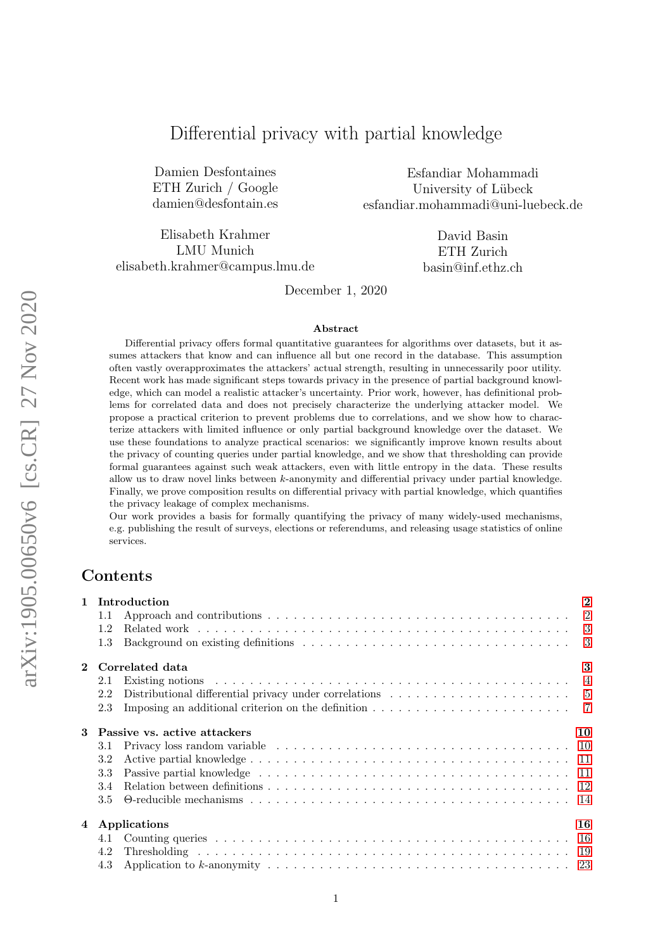# Differential privacy with partial knowledge

Damien Desfontaines ETH Zurich / Google damien@desfontain.es

Esfandiar Mohammadi University of Lübeck esfandiar.mohammadi@uni-luebeck.de

Elisabeth Krahmer LMU Munich elisabeth.krahmer@campus.lmu.de

David Basin ETH Zurich basin@inf.ethz.ch

December 1, 2020

#### Abstract

Differential privacy offers formal quantitative guarantees for algorithms over datasets, but it assumes attackers that know and can influence all but one record in the database. This assumption often vastly overapproximates the attackers' actual strength, resulting in unnecessarily poor utility. Recent work has made significant steps towards privacy in the presence of partial background knowledge, which can model a realistic attacker's uncertainty. Prior work, however, has definitional problems for correlated data and does not precisely characterize the underlying attacker model. We propose a practical criterion to prevent problems due to correlations, and we show how to characterize attackers with limited influence or only partial background knowledge over the dataset. We use these foundations to analyze practical scenarios: we significantly improve known results about the privacy of counting queries under partial knowledge, and we show that thresholding can provide formal guarantees against such weak attackers, even with little entropy in the data. These results allow us to draw novel links between k-anonymity and differential privacy under partial knowledge. Finally, we prove composition results on differential privacy with partial knowledge, which quantifies the privacy leakage of complex mechanisms.

Our work provides a basis for formally quantifying the privacy of many widely-used mechanisms, e.g. publishing the result of surveys, elections or referendums, and releasing usage statistics of online services.

## Contents

|                                   |                        | 1 Introduction                                                                                                 | $\overline{2}$ |  |  |  |  |
|-----------------------------------|------------------------|----------------------------------------------------------------------------------------------------------------|----------------|--|--|--|--|
|                                   | 1.1                    |                                                                                                                |                |  |  |  |  |
|                                   | 1.2                    |                                                                                                                |                |  |  |  |  |
|                                   | 1.3                    |                                                                                                                |                |  |  |  |  |
|                                   | 3<br>2 Correlated data |                                                                                                                |                |  |  |  |  |
|                                   | 2.1                    |                                                                                                                |                |  |  |  |  |
|                                   | 2.2                    |                                                                                                                |                |  |  |  |  |
|                                   | 2.3                    | Imposing an additional criterion on the definition $\ldots \ldots \ldots \ldots \ldots \ldots \ldots \ldots$ 7 |                |  |  |  |  |
| Passive vs. active attackers<br>3 |                        |                                                                                                                | 10             |  |  |  |  |
|                                   | 3.1                    |                                                                                                                |                |  |  |  |  |
|                                   | 3.2                    |                                                                                                                |                |  |  |  |  |
|                                   | 3.3                    |                                                                                                                |                |  |  |  |  |
|                                   | 3.4                    |                                                                                                                |                |  |  |  |  |
|                                   | $3.5^{\circ}$          |                                                                                                                |                |  |  |  |  |
|                                   |                        | 4 Applications                                                                                                 | 16             |  |  |  |  |
|                                   |                        |                                                                                                                |                |  |  |  |  |
|                                   | 4.2                    |                                                                                                                |                |  |  |  |  |
|                                   | 4.3                    |                                                                                                                |                |  |  |  |  |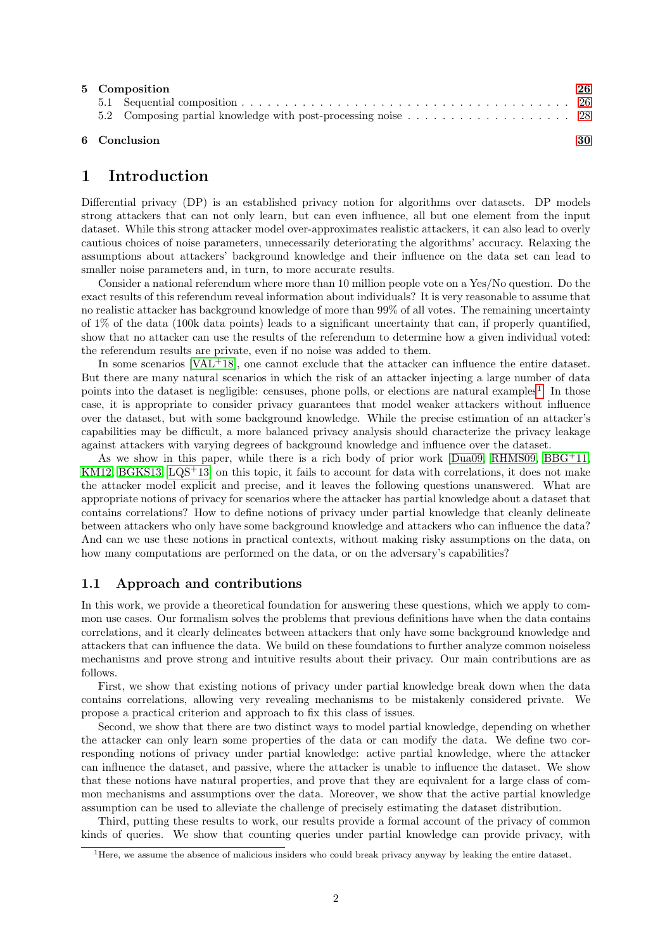|  | 5 Composition<br>26 |  |
|--|---------------------|--|
|  |                     |  |
|  |                     |  |
|  |                     |  |

#### 6 Conclusion [30](#page-29-0)

## <span id="page-1-0"></span>1 Introduction

Differential privacy (DP) is an established privacy notion for algorithms over datasets. DP models strong attackers that can not only learn, but can even influence, all but one element from the input dataset. While this strong attacker model over-approximates realistic attackers, it can also lead to overly cautious choices of noise parameters, unnecessarily deteriorating the algorithms' accuracy. Relaxing the assumptions about attackers' background knowledge and their influence on the data set can lead to smaller noise parameters and, in turn, to more accurate results.

Consider a national referendum where more than 10 million people vote on a Yes/No question. Do the exact results of this referendum reveal information about individuals? It is very reasonable to assume that no realistic attacker has background knowledge of more than 99% of all votes. The remaining uncertainty of 1% of the data (100k data points) leads to a significant uncertainty that can, if properly quantified, show that no attacker can use the results of the referendum to determine how a given individual voted: the referendum results are private, even if no noise was added to them.

In some scenarios [\[VAL](#page-31-0)+18], one cannot exclude that the attacker can influence the entire dataset. But there are many natural scenarios in which the risk of an attacker injecting a large number of data points into the dataset is negligible: censuses, phone polls, or elections are natural examples<sup>[1](#page-1-2)</sup>. In those case, it is appropriate to consider privacy guarantees that model weaker attackers without influence over the dataset, but with some background knowledge. While the precise estimation of an attacker's capabilities may be difficult, a more balanced privacy analysis should characterize the privacy leakage against attackers with varying degrees of background knowledge and influence over the dataset.

As we show in this paper, while there is a rich body of prior work [\[Dua09,](#page-30-0) [RHMS09,](#page-30-1) [BBG](#page-29-1)<sup>+11</sup>, [KM12,](#page-30-2) [BGKS13,](#page-29-2)  $LQS+13$  on this topic, it fails to account for data with correlations, it does not make the attacker model explicit and precise, and it leaves the following questions unanswered. What are appropriate notions of privacy for scenarios where the attacker has partial knowledge about a dataset that contains correlations? How to define notions of privacy under partial knowledge that cleanly delineate between attackers who only have some background knowledge and attackers who can influence the data? And can we use these notions in practical contexts, without making risky assumptions on the data, on how many computations are performed on the data, or on the adversary's capabilities?

## <span id="page-1-1"></span>1.1 Approach and contributions

In this work, we provide a theoretical foundation for answering these questions, which we apply to common use cases. Our formalism solves the problems that previous definitions have when the data contains correlations, and it clearly delineates between attackers that only have some background knowledge and attackers that can influence the data. We build on these foundations to further analyze common noiseless mechanisms and prove strong and intuitive results about their privacy. Our main contributions are as follows.

First, we show that existing notions of privacy under partial knowledge break down when the data contains correlations, allowing very revealing mechanisms to be mistakenly considered private. We propose a practical criterion and approach to fix this class of issues.

Second, we show that there are two distinct ways to model partial knowledge, depending on whether the attacker can only learn some properties of the data or can modify the data. We define two corresponding notions of privacy under partial knowledge: active partial knowledge, where the attacker can influence the dataset, and passive, where the attacker is unable to influence the dataset. We show that these notions have natural properties, and prove that they are equivalent for a large class of common mechanisms and assumptions over the data. Moreover, we show that the active partial knowledge assumption can be used to alleviate the challenge of precisely estimating the dataset distribution.

Third, putting these results to work, our results provide a formal account of the privacy of common kinds of queries. We show that counting queries under partial knowledge can provide privacy, with

<span id="page-1-2"></span> $<sup>1</sup>$  Here, we assume the absence of malicious insiders who could break privacy anyway by leaking the entire dataset.</sup>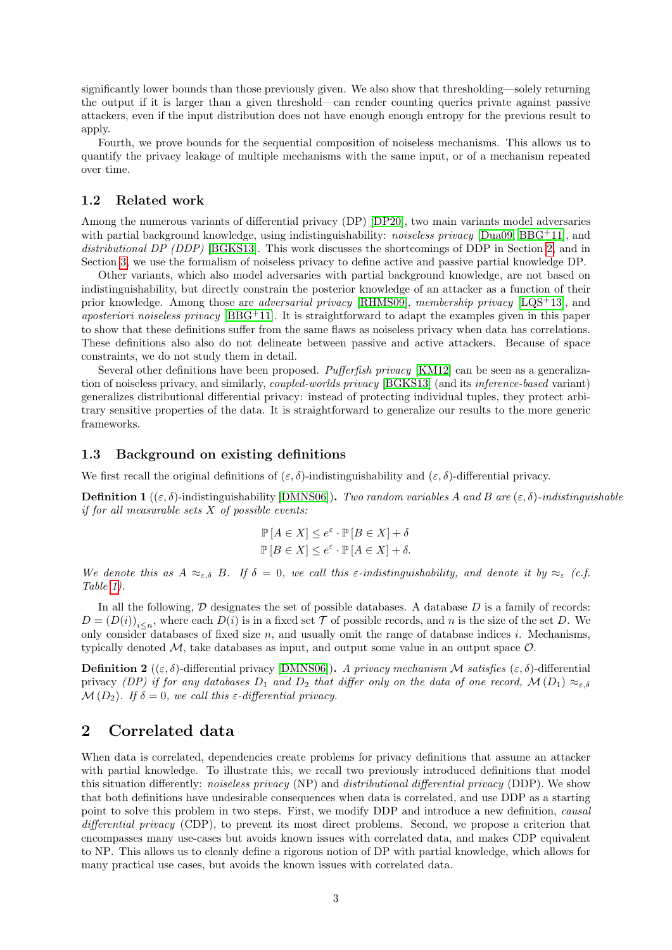significantly lower bounds than those previously given. We also show that thresholding—solely returning the output if it is larger than a given threshold—can render counting queries private against passive attackers, even if the input distribution does not have enough enough entropy for the previous result to apply.

Fourth, we prove bounds for the sequential composition of noiseless mechanisms. This allows us to quantify the privacy leakage of multiple mechanisms with the same input, or of a mechanism repeated over time.

### <span id="page-2-0"></span>1.2 Related work

Among the numerous variants of differential privacy (DP) [\[DP20\]](#page-30-4), two main variants model adversaries with partial background knowledge, using indistinguishability: *noiseless privacy* [\[Dua09,](#page-30-0) [BBG](#page-29-1)<sup>+11]</sup>, and distributional DP (DDP) [\[BGKS13\]](#page-29-2). This work discusses the shortcomings of DDP in Section [2,](#page-2-2) and in Section [3,](#page-9-0) we use the formalism of noiseless privacy to define active and passive partial knowledge DP.

Other variants, which also model adversaries with partial background knowledge, are not based on indistinguishability, but directly constrain the posterior knowledge of an attacker as a function of their prior knowledge. Among those are *adversarial privacy* [\[RHMS09\]](#page-30-1), membership privacy [\[LQS](#page-30-3)<sup>+</sup>13], and *aposteriori noiseless privacy* [\[BBG](#page-29-1)<sup>+</sup>11]. It is straightforward to adapt the examples given in this paper to show that these definitions suffer from the same flaws as noiseless privacy when data has correlations. These definitions also also do not delineate between passive and active attackers. Because of space constraints, we do not study them in detail.

Several other definitions have been proposed. Pufferfish privacy [\[KM12\]](#page-30-2) can be seen as a generalization of noiseless privacy, and similarly, coupled-worlds privacy [\[BGKS13\]](#page-29-2) (and its inference-based variant) generalizes distributional differential privacy: instead of protecting individual tuples, they protect arbitrary sensitive properties of the data. It is straightforward to generalize our results to the more generic frameworks.

### <span id="page-2-1"></span>1.3 Background on existing definitions

We first recall the original definitions of  $(\varepsilon, \delta)$ -indistinguishability and  $(\varepsilon, \delta)$ -differential privacy.

**Definition 1** (( $\varepsilon, \delta$ )-indistinguishability [\[DMNS06\]](#page-29-3)). Two random variables A and B are  $(\varepsilon, \delta)$ -indistinguishable if for all measurable sets  $X$  of possible events:

$$
\mathbb{P}[A \in X] \le e^{\varepsilon} \cdot \mathbb{P}[B \in X] + \delta
$$
  

$$
\mathbb{P}[B \in X] \le e^{\varepsilon} \cdot \mathbb{P}[A \in X] + \delta.
$$

We denote this as  $A \approx_{\varepsilon,\delta} B$ . If  $\delta = 0$ , we call this  $\varepsilon$ -indistinguishability, and denote it by  $\approx_{\varepsilon} (c.f.$ Table [1\)](#page-3-1).

In all the following,  $\mathcal D$  designates the set of possible databases. A database  $D$  is a family of records:  $D = (D(i))_{i \leq n}$ , where each  $D(i)$  is in a fixed set  $\mathcal T$  of possible records, and n is the size of the set D. We only consider databases of fixed size  $n$ , and usually omit the range of database indices i. Mechanisms, typically denoted  $M$ , take databases as input, and output some value in an output space  $O$ .

**Definition 2** ((ε, δ)-differential privacy [\[DMNS06\]](#page-29-3)). A privacy mechanism M satisfies (ε, δ)-differential privacy (DP) if for any databases  $D_1$  and  $D_2$  that differ only on the data of one record,  $\mathcal{M}(D_1) \approx_{\varepsilon,\delta}$  $\mathcal{M}(D_2)$ . If  $\delta = 0$ , we call this  $\varepsilon$ -differential privacy.

## <span id="page-2-2"></span>2 Correlated data

When data is correlated, dependencies create problems for privacy definitions that assume an attacker with partial knowledge. To illustrate this, we recall two previously introduced definitions that model this situation differently: noiseless privacy (NP) and distributional differential privacy (DDP). We show that both definitions have undesirable consequences when data is correlated, and use DDP as a starting point to solve this problem in two steps. First, we modify DDP and introduce a new definition, *causal* differential privacy (CDP), to prevent its most direct problems. Second, we propose a criterion that encompasses many use-cases but avoids known issues with correlated data, and makes CDP equivalent to NP. This allows us to cleanly define a rigorous notion of DP with partial knowledge, which allows for many practical use cases, but avoids the known issues with correlated data.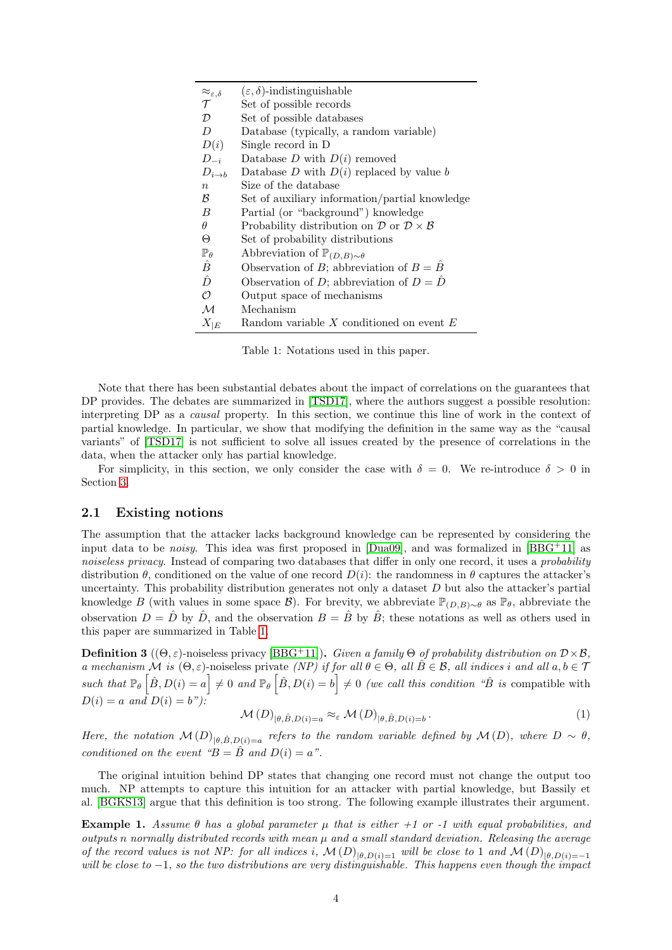<span id="page-3-1"></span>

| $\approx_{\varepsilon,\delta}$                            | $(\varepsilon, \delta)$ -indistinguishable                                    |
|-----------------------------------------------------------|-------------------------------------------------------------------------------|
| $\tau$                                                    | Set of possible records                                                       |
| $\mathcal{D}% _{M_{1},M_{2}}^{\alpha,\beta}(\varepsilon)$ | Set of possible databases                                                     |
| D                                                         | Database (typically, a random variable)                                       |
| D(i)                                                      | Single record in D                                                            |
| $D_{-i}$                                                  | Database $D$ with $D(i)$ removed                                              |
| $D_{i\rightarrow b}$                                      | Database $D$ with $D(i)$ replaced by value $b$                                |
| $\eta$                                                    | Size of the database                                                          |
| ß                                                         | Set of auxiliary information/partial knowledge                                |
| B                                                         | Partial (or "background") knowledge                                           |
| $\theta$                                                  | Probability distribution on $\mathcal{D}$ or $\mathcal{D} \times \mathcal{B}$ |
| Θ                                                         | Set of probability distributions                                              |
| $\mathbb{P}_{\theta}$                                     | Abbreviation of $\mathbb{P}_{(D,B)\sim\theta}$                                |
| Ê                                                         | Observation of B; abbreviation of $B = \overline{B}$                          |
| $\hat{D}$                                                 | Observation of D; abbreviation of $D = \hat{D}$                               |
| $\cal{O}$                                                 | Output space of mechanisms                                                    |
| М                                                         | Mechanism                                                                     |
| $X_{ E}$                                                  | Random variable $X$ conditioned on event $E$                                  |

Table 1: Notations used in this paper.

Note that there has been substantial debates about the impact of correlations on the guarantees that DP provides. The debates are summarized in [\[TSD17\]](#page-31-1), where the authors suggest a possible resolution: interpreting DP as a causal property. In this section, we continue this line of work in the context of partial knowledge. In particular, we show that modifying the definition in the same way as the "causal variants" of [\[TSD17\]](#page-31-1) is not sufficient to solve all issues created by the presence of correlations in the data, when the attacker only has partial knowledge.

For simplicity, in this section, we only consider the case with  $\delta = 0$ . We re-introduce  $\delta > 0$  in Section [3.](#page-9-0)

### <span id="page-3-0"></span>2.1 Existing notions

The assumption that the attacker lacks background knowledge can be represented by considering the input data to be *noisy*. This idea was first proposed in  $[Dua09]$ , and was formalized in  $[BBG+11]$  $[BBG+11]$  as noiseless privacy. Instead of comparing two databases that differ in only one record, it uses a probability distribution  $\theta$ , conditioned on the value of one record  $D(i)$ : the randomness in  $\theta$  captures the attacker's uncertainty. This probability distribution generates not only a dataset  $D$  but also the attacker's partial knowledge B (with values in some space B). For brevity, we abbreviate  $\mathbb{P}_{(D,B)\sim\theta}$  as  $\mathbb{P}_{\theta}$ , abbreviate the observation  $D = \hat{D}$  by  $\hat{D}$ , and the observation  $B = \hat{B}$  by  $\hat{B}$ ; these notations as well as others used in this paper are summarized in Table [1.](#page-3-1)

**Definition 3** ( $(\Theta, \varepsilon)$ -noiseless privacy [\[BBG](#page-29-1)<sup>+</sup>11]). Given a family  $\Theta$  of probability distribution on  $\mathcal{D} \times \mathcal{B}$ , a mechanism  $\tilde{M}$  is  $(\Theta, \varepsilon)$ -noiseless private  $(NP)$  if for all  $\theta \in \Theta$ , all  $\tilde{B} \in \mathcal{B}$ , all indices i and all  $a, b \in \mathcal{T}$ such that  $\mathbb{P}_{\theta} \left[ \hat{B}, D(i) = a \right] \neq 0$  and  $\mathbb{P}_{\theta} \left[ \hat{B}, D(i) = b \right] \neq 0$  (we call this condition " $\hat{B}$  is compatible with  $D(i) = a$  and  $D(i) = b$ "):

$$
\mathcal{M}(D)_{|\theta,\hat{B},D(i)=a} \approx_{\varepsilon} \mathcal{M}(D)_{|\theta,\hat{B},D(i)=b}.
$$
 (1)

Here, the notation  $\mathcal{M}(D)_{|\theta,\hat{B},D(i)=a}$  refers to the random variable defined by  $\mathcal{M}(D)$ , where  $D \sim \theta$ , conditioned on the event " $B = \hat{B}$  and  $D(i) = a$ ".

The original intuition behind DP states that changing one record must not change the output too much. NP attempts to capture this intuition for an attacker with partial knowledge, but Bassily et al. [\[BGKS13\]](#page-29-2) argue that this definition is too strong. The following example illustrates their argument.

<span id="page-3-2"></span>Example 1. Assume  $\theta$  has a global parameter  $\mu$  that is either +1 or -1 with equal probabilities, and outputs n normally distributed records with mean  $\mu$  and a small standard deviation. Releasing the average of the record values is not NP: for all indices i,  $\mathcal{M}(D)_{|\theta,D(i)=1}$  will be close to 1 and  $\mathcal{M}(D)_{|\theta,D(i)=-1}$ will be close to  $-1$ , so the two distributions are very distinguishable. This happens even though the impact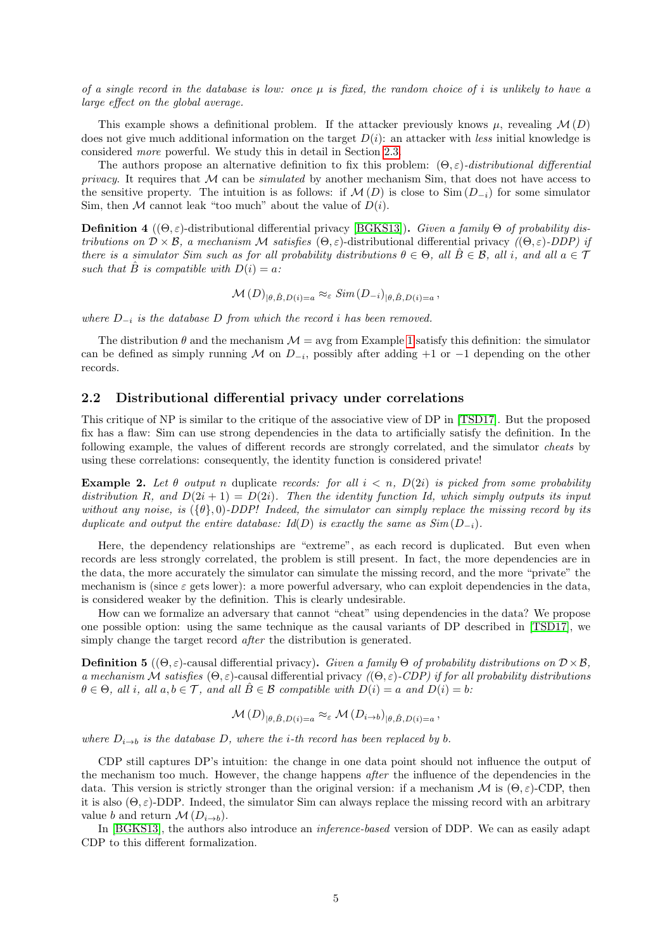of a single record in the database is low: once  $\mu$  is fixed, the random choice of i is unlikely to have a large effect on the global average.

This example shows a definitional problem. If the attacker previously knows  $\mu$ , revealing  $\mathcal{M}(D)$ does not give much additional information on the target  $D(i)$ : an attacker with less initial knowledge is considered more powerful. We study this in detail in Section [2.3.](#page-6-0)

The authors propose an alternative definition to fix this problem:  $(\Theta, \varepsilon)$ -distributional differential privacy. It requires that  $M$  can be *simulated* by another mechanism Sim, that does not have access to the sensitive property. The intuition is as follows: if  $\mathcal{M}(D)$  is close to  $\text{Sim}(D_{-i})$  for some simulator Sim, then M cannot leak "too much" about the value of  $D(i)$ .

**Definition 4** (( $\Theta$ ,  $\varepsilon$ )-distributional differential privacy [\[BGKS13\]](#page-29-2)). Given a family  $\Theta$  of probability distributions on  $\mathcal{D} \times \mathcal{B}$ , a mechanism M satisfies  $(\Theta, \varepsilon)$ -distributional differential privacy  $((\Theta, \varepsilon)$ -DDP) if there is a simulator Sim such as for all probability distributions  $\theta \in \Theta$ , all  $\hat{B} \in \mathcal{B}$ , all i, and all  $a \in \mathcal{T}$ such that B is compatible with  $D(i) = a$ :

$$
\mathcal{M}(D)_{|\theta,\hat{B},D(i)=a} \approx_{\varepsilon} Sim(D_{-i})_{|\theta,\hat{B},D(i)=a},
$$

where  $D_{-i}$  is the database D from which the record i has been removed.

The distribution  $\theta$  and the mechanism  $\mathcal{M} = \text{avg}$  from Example [1](#page-3-2) satisfy this definition: the simulator can be defined as simply running M on  $D_{-i}$ , possibly after adding +1 or -1 depending on the other records.

### <span id="page-4-0"></span>2.2 Distributional differential privacy under correlations

This critique of NP is similar to the critique of the associative view of DP in [\[TSD17\]](#page-31-1). But the proposed fix has a flaw: Sim can use strong dependencies in the data to artificially satisfy the definition. In the following example, the values of different records are strongly correlated, and the simulator cheats by using these correlations: consequently, the identity function is considered private!

<span id="page-4-2"></span>**Example 2.** Let  $\theta$  output n duplicate records: for all  $i < n$ ,  $D(2i)$  is picked from some probability distribution R, and  $D(2i + 1) = D(2i)$ . Then the identity function Id, which simply outputs its input without any noise, is  $({\theta}, 0)$ -DDP! Indeed, the simulator can simply replace the missing record by its duplicate and output the entire database:  $Id(D)$  is exactly the same as  $Sim(D_{-i})$ .

Here, the dependency relationships are "extreme", as each record is duplicated. But even when records are less strongly correlated, the problem is still present. In fact, the more dependencies are in the data, the more accurately the simulator can simulate the missing record, and the more "private" the mechanism is (since  $\varepsilon$  gets lower): a more powerful adversary, who can exploit dependencies in the data, is considered weaker by the definition. This is clearly undesirable.

How can we formalize an adversary that cannot "cheat" using dependencies in the data? We propose one possible option: using the same technique as the causal variants of DP described in [\[TSD17\]](#page-31-1), we simply change the target record *after* the distribution is generated.

<span id="page-4-1"></span>**Definition 5** ( $(\Theta, \varepsilon)$ -causal differential privacy). Given a family  $\Theta$  of probability distributions on  $\mathcal{D} \times \mathcal{B}$ , a mechanism M satisfies  $(\Theta, \varepsilon)$ -causal differential privacy  $((\Theta, \varepsilon)$ -CDP) if for all probability distributions  $\theta \in \Theta$ , all i, all  $a, b \in \mathcal{T}$ , and all  $B \in \mathcal{B}$  compatible with  $D(i) = a$  and  $D(i) = b$ :

$$
\mathcal{M}(D)_{|\theta,\hat{B},D(i)=a} \approx_{\varepsilon} \mathcal{M}(D_{i\to b})_{|\theta,\hat{B},D(i)=a},
$$

where  $D_{i\rightarrow b}$  is the database D, where the *i*-th record has been replaced by b.

CDP still captures DP's intuition: the change in one data point should not influence the output of the mechanism too much. However, the change happens after the influence of the dependencies in the data. This version is strictly stronger than the original version: if a mechanism M is  $(\Theta, \varepsilon)$ -CDP, then it is also  $(\Theta, \varepsilon)$ -DDP. Indeed, the simulator Sim can always replace the missing record with an arbitrary value b and return  $\mathcal{M}(D_{i\rightarrow b})$ .

In [\[BGKS13\]](#page-29-2), the authors also introduce an *inference-based* version of DDP. We can as easily adapt CDP to this different formalization.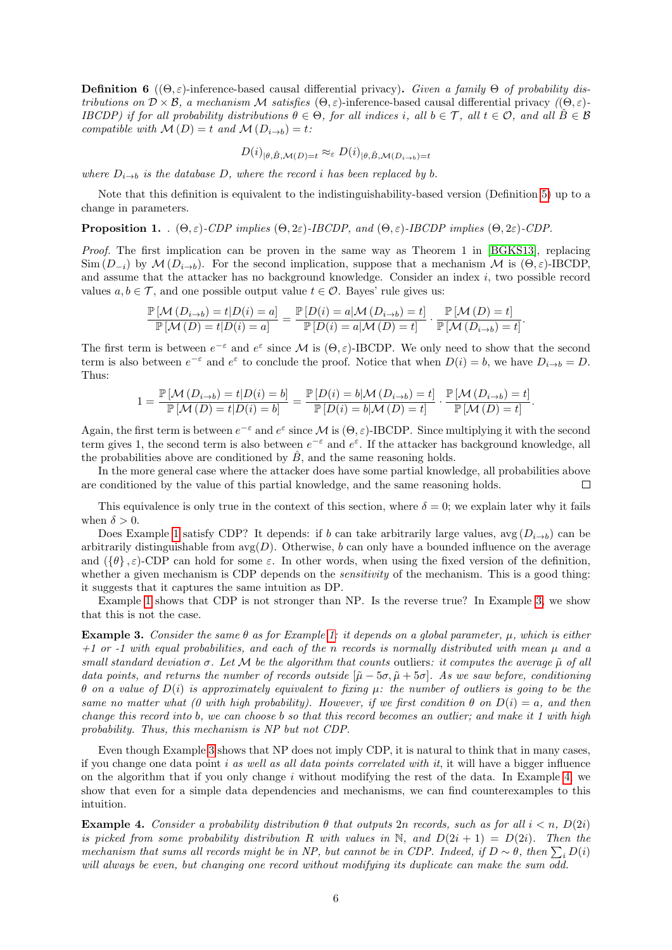**Definition 6** (( $\Theta$ ,  $\varepsilon$ )-inference-based causal differential privacy). Given a family  $\Theta$  of probability distributions on  $\mathcal{D} \times \mathcal{B}$ , a mechanism M satisfies  $(\Theta, \varepsilon)$ -inference-based causal differential privacy  $((\Theta, \varepsilon)$ -IBCDP) if for all probability distributions  $\theta \in \Theta$ , for all indices i, all  $b \in \mathcal{T}$ , all  $t \in \mathcal{O}$ , and all  $\hat{B} \in \mathcal{B}$ compatible with  $\mathcal{M}(D) = t$  and  $\mathcal{M}(D_{i\rightarrow b}) = t$ :

$$
D(i)_{|\theta,\hat{B},\mathcal{M}(D)=t} \approx_{\varepsilon} D(i)_{|\theta,\hat{B},\mathcal{M}(D_{i\to b})=t}
$$

where  $D_{i\rightarrow b}$  is the database D, where the record i has been replaced by b.

Note that this definition is equivalent to the indistinguishability-based version (Definition [5\)](#page-4-1) up to a change in parameters.

**Proposition 1.** .  $(\Theta, \varepsilon)$ -CDP implies  $(\Theta, 2\varepsilon)$ -IBCDP, and  $(\Theta, \varepsilon)$ -IBCDP implies  $(\Theta, 2\varepsilon)$ -CDP.

Proof. The first implication can be proven in the same way as Theorem 1 in [\[BGKS13\]](#page-29-2), replacing  $\text{Sim}(D_{-i})$  by  $\mathcal{M}(D_{i\to b})$ . For the second implication, suppose that a mechanism  $\mathcal{M}$  is  $(\Theta, \varepsilon)$ -IBCDP, and assume that the attacker has no background knowledge. Consider an index i, two possible record values  $a, b \in \mathcal{T}$ , and one possible output value  $t \in \mathcal{O}$ . Bayes' rule gives us:

$$
\frac{\mathbb{P}\left[\mathcal{M}\left(D_{i\rightarrow b}\right)=t|D(i)=a\right]}{\mathbb{P}\left[\mathcal{M}\left(D\right)=t|D(i)=a\right]}=\frac{\mathbb{P}\left[D(i)=a|\mathcal{M}\left(D_{i\rightarrow b}\right)=t\right]}{\mathbb{P}\left[D(i)=a|\mathcal{M}\left(D\right)=t\right]}\cdot\frac{\mathbb{P}\left[\mathcal{M}\left(D\right)=t\right]}{\mathbb{P}\left[\mathcal{M}\left(D_{i\rightarrow b}\right)=t\right]}
$$

.

The first term is between  $e^{-\varepsilon}$  and  $e^{\varepsilon}$  since M is  $(\Theta, \varepsilon)$ -IBCDP. We only need to show that the second term is also between  $e^{-\varepsilon}$  and  $e^{\varepsilon}$  to conclude the proof. Notice that when  $D(i) = b$ , we have  $D_{i \to b} = D$ . Thus:

$$
1 = \frac{\mathbb{P}\left[\mathcal{M}\left(D_{i\rightarrow b}\right) = t | D(i) = b\right]}{\mathbb{P}\left[\mathcal{M}\left(D\right) = t | D(i) = b\right]} = \frac{\mathbb{P}\left[D(i) = b | \mathcal{M}\left(D_{i\rightarrow b}\right) = t\right]}{\mathbb{P}\left[D(i) = b | \mathcal{M}\left(D\right) = t\right]} \cdot \frac{\mathbb{P}\left[\mathcal{M}\left(D_{i\rightarrow b}\right) = t\right]}{\mathbb{P}\left[\mathcal{M}\left(D\right) = t\right]}.
$$

Again, the first term is between  $e^{-\varepsilon}$  and  $e^{\varepsilon}$  since M is  $(\Theta, \varepsilon)$ -IBCDP. Since multiplying it with the second term gives 1, the second term is also between  $e^{-\epsilon}$  and  $e^{\epsilon}$ . If the attacker has background knowledge, all the probabilities above are conditioned by  $\tilde{B}$ , and the same reasoning holds.

In the more general case where the attacker does have some partial knowledge, all probabilities above are conditioned by the value of this partial knowledge, and the same reasoning holds.  $\Box$ 

This equivalence is only true in the context of this section, where  $\delta = 0$ ; we explain later why it fails when  $\delta > 0$ .

Does Example [1](#page-3-2) satisfy CDP? It depends: if b can take arbitrarily large values,  $\text{avg}(D_{i\rightarrow b})$  can be arbitrarily distinguishable from  $\arg(D)$ . Otherwise, b can only have a bounded influence on the average and  $(\{\theta\}, \varepsilon)$ -CDP can hold for some  $\varepsilon$ . In other words, when using the fixed version of the definition, whether a given mechanism is CDP depends on the *sensitivity* of the mechanism. This is a good thing: it suggests that it captures the same intuition as DP.

Example [1](#page-3-2) shows that CDP is not stronger than NP. Is the reverse true? In Example [3,](#page-5-0) we show that this is not the case.

<span id="page-5-0"></span>Example 3. Consider the same  $\theta$  as for Example [1:](#page-3-2) it depends on a global parameter,  $\mu$ , which is either  $+1$  or  $-1$  with equal probabilities, and each of the n records is normally distributed with mean  $\mu$  and a small standard deviation  $\sigma$ . Let M be the algorithm that counts outliers: it computes the average  $\tilde{\mu}$  of all data points, and returns the number of records outside  $[\tilde{\mu} - 5\sigma, \tilde{\mu} + 5\sigma]$ . As we saw before, conditioning θ on a value of D(i) is approximately equivalent to fixing µ: the number of outliers is going to be the same no matter what (0 with high probability). However, if we first condition  $\theta$  on  $D(i) = a$ , and then change this record into b, we can choose b so that this record becomes an outlier; and make it 1 with high probability. Thus, this mechanism is NP but not CDP.

Even though Example [3](#page-5-0) shows that NP does not imply CDP, it is natural to think that in many cases, if you change one data point i as well as all data points correlated with it, it will have a bigger influence on the algorithm that if you only change  $i$  without modifying the rest of the data. In Example [4,](#page-5-1) we show that even for a simple data dependencies and mechanisms, we can find counterexamples to this intuition.

<span id="page-5-1"></span>**Example 4.** Consider a probability distribution  $\theta$  that outputs 2n records, such as for all  $i < n$ ,  $D(2i)$ is picked from some probability distribution R with values in N, and  $D(2i + 1) = D(2i)$ . Then the mechanism that sums all records might be in NP, but cannot be in CDP. Indeed, if  $D \sim \theta$ , then  $\sum_i D(i)$ will always be even, but changing one record without modifying its duplicate can make the sum odd.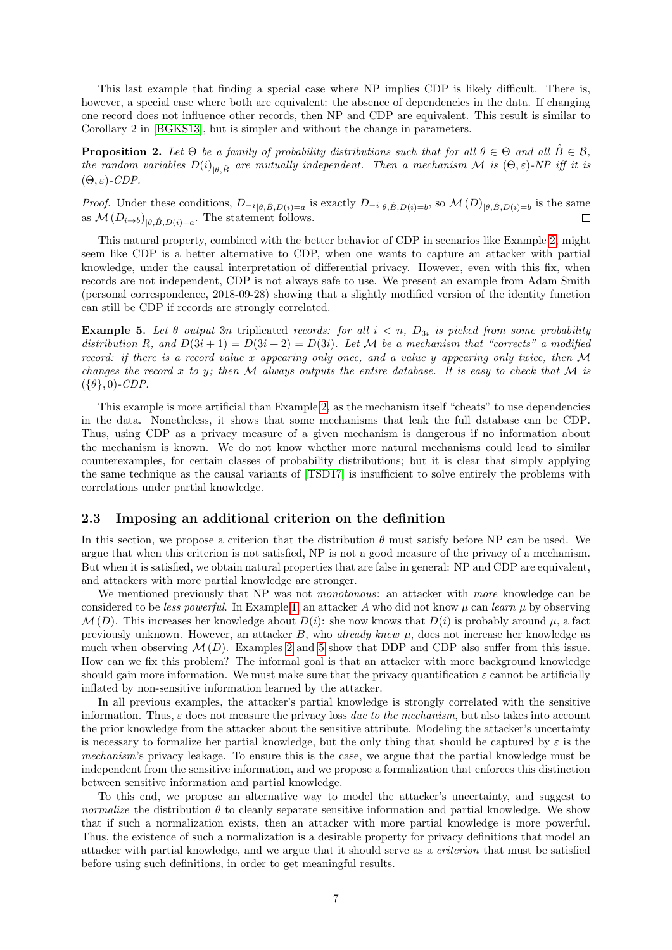This last example that finding a special case where NP implies CDP is likely difficult. There is, however, a special case where both are equivalent: the absence of dependencies in the data. If changing one record does not influence other records, then NP and CDP are equivalent. This result is similar to Corollary 2 in [\[BGKS13\]](#page-29-2), but is simpler and without the change in parameters.

<span id="page-6-2"></span>**Proposition 2.** Let  $\Theta$  be a family of probability distributions such that for all  $\theta \in \Theta$  and all  $\overline{B} \in \mathcal{B}$ , the random variables  $D(i)_{|\theta,\hat{B}}$  are mutually independent. Then a mechanism M is  $(\Theta,\varepsilon)$ -NP iff it is  $(\Theta, \varepsilon)$ -CDP.

*Proof.* Under these conditions,  $D_{-i}{}_{|\theta,\hat{B},D(i)=a}$  is exactly  $D_{-i}{}_{|\theta,\hat{B},D(i)=b}$ , so  $\mathcal{M}(D)_{|\theta,\hat{B},D(i)=b}$  is the same as  $\mathcal{M}(D_{i\rightarrow b})_{|\theta,\hat{B},D(i)=a}$ . The statement follows.

This natural property, combined with the better behavior of CDP in scenarios like Example [2,](#page-4-2) might seem like CDP is a better alternative to CDP, when one wants to capture an attacker with partial knowledge, under the causal interpretation of differential privacy. However, even with this fix, when records are not independent, CDP is not always safe to use. We present an example from Adam Smith (personal correspondence, 2018-09-28) showing that a slightly modified version of the identity function can still be CDP if records are strongly correlated.

<span id="page-6-1"></span>**Example 5.** Let  $\theta$  output 3n triplicated records: for all  $i < n$ ,  $D_{3i}$  is picked from some probability distribution R, and  $D(3i + 1) = D(3i + 2) = D(3i)$ . Let M be a mechanism that "corrects" a modified record: if there is a record value x appearing only once, and a value y appearing only twice, then M changes the record x to y; then M always outputs the entire database. It is easy to check that M is  $(\{\theta\},0)$ -CDP.

This example is more artificial than Example [2,](#page-4-2) as the mechanism itself "cheats" to use dependencies in the data. Nonetheless, it shows that some mechanisms that leak the full database can be CDP. Thus, using CDP as a privacy measure of a given mechanism is dangerous if no information about the mechanism is known. We do not know whether more natural mechanisms could lead to similar counterexamples, for certain classes of probability distributions; but it is clear that simply applying the same technique as the causal variants of [\[TSD17\]](#page-31-1) is insufficient to solve entirely the problems with correlations under partial knowledge.

#### <span id="page-6-0"></span>2.3 Imposing an additional criterion on the definition

In this section, we propose a criterion that the distribution  $\theta$  must satisfy before NP can be used. We argue that when this criterion is not satisfied, NP is not a good measure of the privacy of a mechanism. But when it is satisfied, we obtain natural properties that are false in general: NP and CDP are equivalent, and attackers with more partial knowledge are stronger.

We mentioned previously that NP was not *monotonous*: an attacker with more knowledge can be considered to be less powerful. In Example [1,](#page-3-2) an attacker A who did not know  $\mu$  can learn  $\mu$  by observing  $\mathcal{M}(D)$ . This increases her knowledge about  $D(i)$ : she now knows that  $D(i)$  is probably around  $\mu$ , a fact previously unknown. However, an attacker  $B$ , who *already knew*  $\mu$ , does not increase her knowledge as much when observing  $\mathcal{M}(D)$ . Examples [2](#page-4-2) and [5](#page-6-1) show that DDP and CDP also suffer from this issue. How can we fix this problem? The informal goal is that an attacker with more background knowledge should gain more information. We must make sure that the privacy quantification  $\varepsilon$  cannot be artificially inflated by non-sensitive information learned by the attacker.

In all previous examples, the attacker's partial knowledge is strongly correlated with the sensitive information. Thus,  $\varepsilon$  does not measure the privacy loss due to the mechanism, but also takes into account the prior knowledge from the attacker about the sensitive attribute. Modeling the attacker's uncertainty is necessary to formalize her partial knowledge, but the only thing that should be captured by  $\varepsilon$  is the mechanism's privacy leakage. To ensure this is the case, we argue that the partial knowledge must be independent from the sensitive information, and we propose a formalization that enforces this distinction between sensitive information and partial knowledge.

To this end, we propose an alternative way to model the attacker's uncertainty, and suggest to normalize the distribution  $\theta$  to cleanly separate sensitive information and partial knowledge. We show that if such a normalization exists, then an attacker with more partial knowledge is more powerful. Thus, the existence of such a normalization is a desirable property for privacy definitions that model an attacker with partial knowledge, and we argue that it should serve as a criterion that must be satisfied before using such definitions, in order to get meaningful results.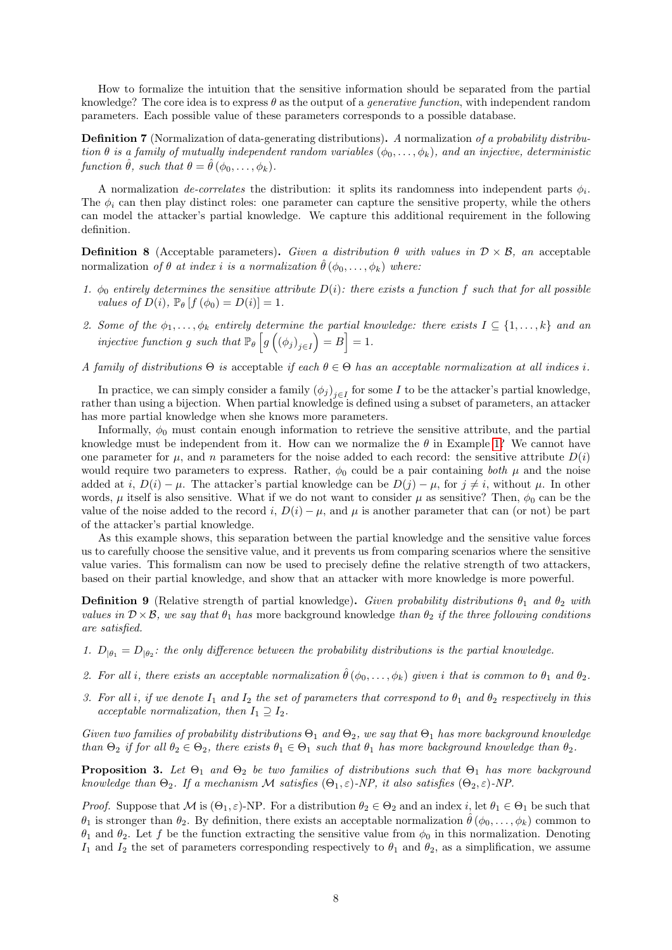How to formalize the intuition that the sensitive information should be separated from the partial knowledge? The core idea is to express  $\theta$  as the output of a *generative function*, with independent random parameters. Each possible value of these parameters corresponds to a possible database.

Definition 7 (Normalization of data-generating distributions). A normalization of a probability distribution  $\theta$  is a family of mutually independent random variables  $(\phi_0, \ldots, \phi_k)$ , and an injective, deterministic function  $\hat{\theta}$ , such that  $\theta = \hat{\theta}$  ( $\phi_0, \ldots, \phi_k$ ).

A normalization *de-correlates* the distribution: it splits its randomness into independent parts  $\phi_i$ . The  $\phi_i$  can then play distinct roles: one parameter can capture the sensitive property, while the others can model the attacker's partial knowledge. We capture this additional requirement in the following definition.

<span id="page-7-0"></span>**Definition 8** (Acceptable parameters). Given a distribution  $\theta$  with values in  $\mathcal{D} \times \mathcal{B}$ , an acceptable normalization of  $\theta$  at index i is a normalization  $\hat{\theta}(\phi_0, \ldots, \phi_k)$  where:

- 1.  $\phi_0$  entirely determines the sensitive attribute  $D(i)$ : there exists a function f such that for all possible values of  $D(i)$ ,  $\mathbb{P}_{\theta} [f(\phi_0) = D(i)] = 1$ .
- 2. Some of the  $\phi_1,\ldots,\phi_k$  entirely determine the partial knowledge: there exists  $I \subseteq \{1,\ldots,k\}$  and an injective function g such that  $\mathbb{P}_{\theta}\left[g\left(\left(\phi_j\right)_{j\in I}\right)=B\right]=1$ .
- A family of distributions  $\Theta$  is acceptable if each  $\theta \in \Theta$  has an acceptable normalization at all indices i.

In practice, we can simply consider a family  $(\phi_j)_{j\in I}$  for some I to be the attacker's partial knowledge, rather than using a bijection. When partial knowledge is defined using a subset of parameters, an attacker has more partial knowledge when she knows more parameters.

Informally,  $\phi_0$  must contain enough information to retrieve the sensitive attribute, and the partial knowledge must be independent from it. How can we normalize the  $\theta$  in Example [1?](#page-3-2) We cannot have one parameter for  $\mu$ , and n parameters for the noise added to each record: the sensitive attribute  $D(i)$ would require two parameters to express. Rather,  $\phi_0$  could be a pair containing both  $\mu$  and the noise added at i,  $D(i) - \mu$ . The attacker's partial knowledge can be  $D(j) - \mu$ , for  $j \neq i$ , without  $\mu$ . In other words,  $\mu$  itself is also sensitive. What if we do not want to consider  $\mu$  as sensitive? Then,  $\phi_0$  can be the value of the noise added to the record i,  $D(i) - \mu$ , and  $\mu$  is another parameter that can (or not) be part of the attacker's partial knowledge.

As this example shows, this separation between the partial knowledge and the sensitive value forces us to carefully choose the sensitive value, and it prevents us from comparing scenarios where the sensitive value varies. This formalism can now be used to precisely define the relative strength of two attackers, based on their partial knowledge, and show that an attacker with more knowledge is more powerful.

**Definition 9** (Relative strength of partial knowledge). Given probability distributions  $\theta_1$  and  $\theta_2$  with values in  $D \times B$ , we say that  $\theta_1$  has more background knowledge than  $\theta_2$  if the three following conditions are satisfied.

- 1.  $D_{\vert \theta_1} = D_{\vert \theta_2}$ : the only difference between the probability distributions is the partial knowledge.
- 2. For all i, there exists an acceptable normalization  $\hat{\theta}(\phi_0,\ldots,\phi_k)$  given i that is common to  $\theta_1$  and  $\theta_2$ .
- 3. For all i, if we denote  $I_1$  and  $I_2$  the set of parameters that correspond to  $\theta_1$  and  $\theta_2$  respectively in this acceptable normalization, then  $I_1 \supseteq I_2$ .

Given two families of probability distributions  $\Theta_1$  and  $\Theta_2$ , we say that  $\Theta_1$  has more background knowledge than  $\Theta_2$  if for all  $\theta_2 \in \Theta_2$ , there exists  $\theta_1 \in \Theta_1$  such that  $\theta_1$  has more background knowledge than  $\theta_2$ .

**Proposition 3.** Let  $\Theta_1$  and  $\Theta_2$  be two families of distributions such that  $\Theta_1$  has more background knowledge than  $\Theta_2$ . If a mechanism M satisfies  $(\Theta_1, \varepsilon)$ -NP, it also satisfies  $(\Theta_2, \varepsilon)$ -NP.

*Proof.* Suppose that M is  $(\Theta_1, \varepsilon)$ -NP. For a distribution  $\theta_2 \in \Theta_2$  and an index i, let  $\theta_1 \in \Theta_1$  be such that  $\theta_1$  is stronger than  $\theta_2$ . By definition, there exists an acceptable normalization  $\hat{\theta}(\phi_0,\ldots,\phi_k)$  common to  $\theta_1$  and  $\theta_2$ . Let f be the function extracting the sensitive value from  $\phi_0$  in this normalization. Denoting  $I_1$  and  $I_2$  the set of parameters corresponding respectively to  $\theta_1$  and  $\theta_2$ , as a simplification, we assume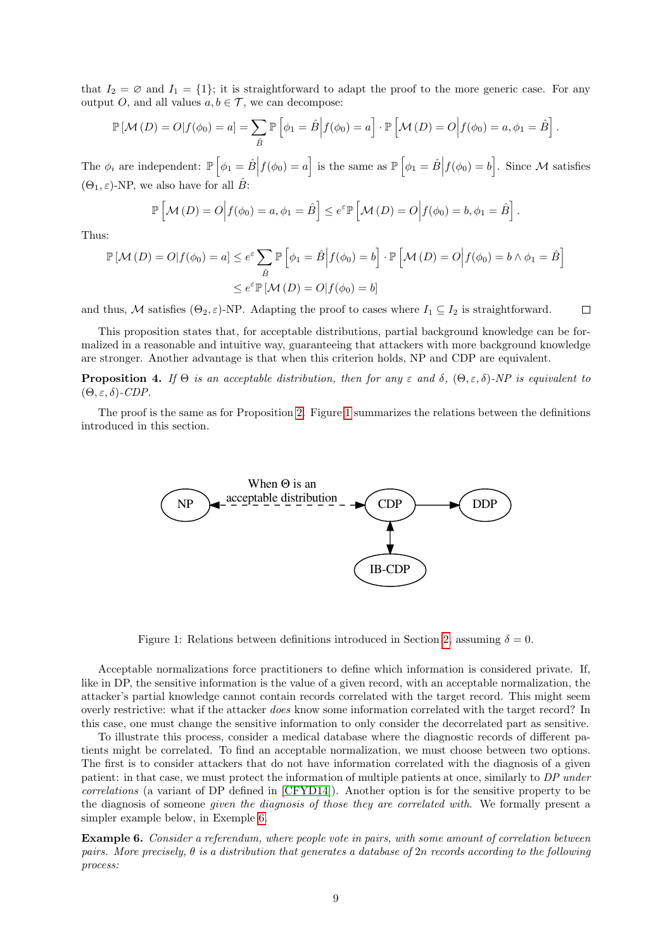that  $I_2 = \emptyset$  and  $I_1 = \{1\}$ ; it is straightforward to adapt the proof to the more generic case. For any output *O*, and all values  $a, b \in \mathcal{T}$ , we can decompose:

$$
\mathbb{P}\left[\mathcal{M}\left(D\right)=O|f(\phi_0)=a\right]=\sum_{\hat{B}}\mathbb{P}\left[\phi_1=\hat{B}\Big|f(\phi_0)=a\right]\cdot\mathbb{P}\left[\mathcal{M}\left(D\right)=O\Big|f(\phi_0)=a,\phi_1=\hat{B}\right].
$$

The  $\phi_i$  are independent:  $\mathbb{P}\left[\phi_1 = \hat{B}\Big| f(\phi_0) = a\right]$  is the same as  $\mathbb{P}\left[\phi_1 = \hat{B}\Big| f(\phi_0) = b\right]$ . Since M satisfies  $(\Theta_1, \varepsilon)$ -NP, we also have for all  $\hat{B}$ :

$$
\mathbb{P}\left[\mathcal{M}\left(D\right)=O\Big|f(\phi_0)=a,\phi_1=\hat{B}\right]\leq e^{\varepsilon}\mathbb{P}\left[\mathcal{M}\left(D\right)=O\Big|f(\phi_0)=b,\phi_1=\hat{B}\right].
$$

Thus:

$$
\mathbb{P}[\mathcal{M}(D) = O | f(\phi_0) = a] \le e^{\varepsilon} \sum_{\hat{B}} \mathbb{P} \left[ \phi_1 = \hat{B} \middle| f(\phi_0) = b \right] \cdot \mathbb{P} \left[ \mathcal{M}(D) = O \middle| f(\phi_0) = b \land \phi_1 = \hat{B} \right]
$$

$$
\le e^{\varepsilon} \mathbb{P}[\mathcal{M}(D) = O | f(\phi_0) = b]
$$

and thus, M satisfies  $(\Theta_2, \varepsilon)$ -NP. Adapting the proof to cases where  $I_1 \subseteq I_2$  is straightforward.  $\Box$ 

This proposition states that, for acceptable distributions, partial background knowledge can be formalized in a reasonable and intuitive way, guaranteeing that attackers with more background knowledge are stronger. Another advantage is that when this criterion holds, NP and CDP are equivalent.

<span id="page-8-2"></span>**Proposition 4.** If  $\Theta$  is an acceptable distribution, then for any  $\varepsilon$  and  $\delta$ ,  $(\Theta, \varepsilon, \delta)$ -NP is equivalent to  $(\Theta, \varepsilon, \delta)$ -CDP.

<span id="page-8-0"></span>The proof is the same as for Proposition [2.](#page-6-2) Figure [1](#page-8-0) summarizes the relations between the definitions introduced in this section.



Figure 1: Relations between definitions introduced in Section [2,](#page-2-2) assuming  $\delta = 0$ .

Acceptable normalizations force practitioners to define which information is considered private. If, like in DP, the sensitive information is the value of a given record, with an acceptable normalization, the attacker's partial knowledge cannot contain records correlated with the target record. This might seem overly restrictive: what if the attacker does know some information correlated with the target record? In this case, one must change the sensitive information to only consider the decorrelated part as sensitive.

To illustrate this process, consider a medical database where the diagnostic records of different patients might be correlated. To find an acceptable normalization, we must choose between two options. The first is to consider attackers that do not have information correlated with the diagnosis of a given patient: in that case, we must protect the information of multiple patients at once, similarly to DP under correlations (a variant of DP defined in [\[CFYD14\]](#page-29-4)). Another option is for the sensitive property to be the diagnosis of someone given the diagnosis of those they are correlated with. We formally present a simpler example below, in Exemple [6.](#page-8-1)

<span id="page-8-1"></span>Example 6. Consider a referendum, where people vote in pairs, with some amount of correlation between pairs. More precisely,  $\theta$  is a distribution that generates a database of 2n records according to the following process: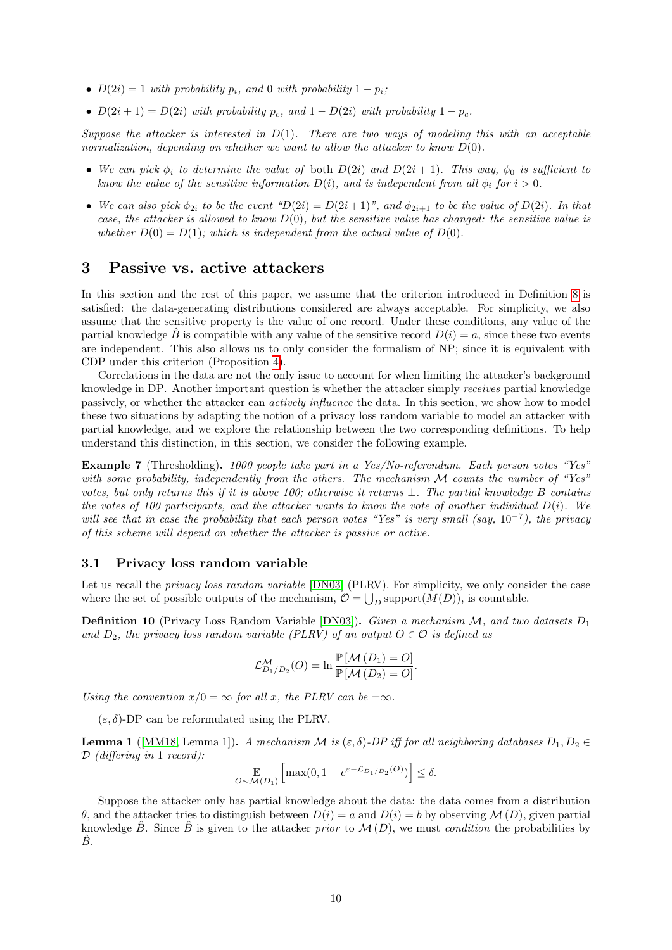- $D(2i) = 1$  with probability  $p_i$ , and 0 with probability  $1 p_i$ ;
- $D(2i + 1) = D(2i)$  with probability  $p_c$ , and  $1 D(2i)$  with probability  $1 p_c$ .

Suppose the attacker is interested in  $D(1)$ . There are two ways of modeling this with an acceptable normalization, depending on whether we want to allow the attacker to know  $D(0)$ .

- We can pick  $\phi_i$  to determine the value of both  $D(2i)$  and  $D(2i+1)$ . This way,  $\phi_0$  is sufficient to know the value of the sensitive information  $D(i)$ , and is independent from all  $\phi_i$  for  $i > 0$ .
- We can also pick  $\phi_{2i}$  to be the event " $D(2i) = D(2i+1)$ ", and  $\phi_{2i+1}$  to be the value of  $D(2i)$ . In that case, the attacker is allowed to know  $D(0)$ , but the sensitive value has changed: the sensitive value is whether  $D(0) = D(1)$ ; which is independent from the actual value of  $D(0)$ .

## <span id="page-9-0"></span>3 Passive vs. active attackers

In this section and the rest of this paper, we assume that the criterion introduced in Definition [8](#page-7-0) is satisfied: the data-generating distributions considered are always acceptable. For simplicity, we also assume that the sensitive property is the value of one record. Under these conditions, any value of the partial knowledge B is compatible with any value of the sensitive record  $D(i) = a$ , since these two events are independent. This also allows us to only consider the formalism of NP; since it is equivalent with CDP under this criterion (Proposition [4\)](#page-8-2).

Correlations in the data are not the only issue to account for when limiting the attacker's background knowledge in DP. Another important question is whether the attacker simply receives partial knowledge passively, or whether the attacker can actively influence the data. In this section, we show how to model these two situations by adapting the notion of a privacy loss random variable to model an attacker with partial knowledge, and we explore the relationship between the two corresponding definitions. To help understand this distinction, in this section, we consider the following example.

<span id="page-9-3"></span>Example 7 (Thresholding). 1000 people take part in a Yes/No-referendum. Each person votes "Yes" with some probability, independently from the others. The mechanism  $M$  counts the number of "Yes" votes, but only returns this if it is above 100; otherwise it returns  $\perp$ . The partial knowledge B contains the votes of 100 participants, and the attacker wants to know the vote of another individual  $D(i)$ . We will see that in case the probability that each person votes "Yes" is very small (say,  $10^{-7}$ ), the privacy of this scheme will depend on whether the attacker is passive or active.

## <span id="page-9-1"></span>3.1 Privacy loss random variable

Let us recall the *privacy loss random variable* [\[DN03\]](#page-30-5) (PLRV). For simplicity, we only consider the case where the set of possible outputs of the mechanism,  $\mathcal{O} = \bigcup_D \text{support}(M(D))$ , is countable.

**Definition 10** (Privacy Loss Random Variable [\[DN03\]](#page-30-5)). Given a mechanism  $M$ , and two datasets  $D_1$ and  $D_2$ , the privacy loss random variable (PLRV) of an output  $O \in \mathcal{O}$  is defined as

$$
\mathcal{L}_{D_1/D_2}^{\mathcal{M}}(O) = \ln \frac{\mathbb{P}\left[\mathcal{M}\left(D_1\right) = O\right]}{\mathbb{P}\left[\mathcal{M}\left(D_2\right) = O\right]}.
$$

Using the convention  $x/0 = \infty$  for all x, the PLRV can be  $\pm \infty$ .

 $(\varepsilon, \delta)$ -DP can be reformulated using the PLRV.

<span id="page-9-2"></span>**Lemma 1** ([\[MM18,](#page-30-6) Lemma 1]). A mechanism M is  $(\varepsilon, \delta)$ -DP iff for all neighboring databases  $D_1, D_2 \in$ D (differing in 1 record):

$$
\mathbb{E}_{O \sim \mathcal{M}(D_1)} \left[ \max(0, 1 - e^{\varepsilon - \mathcal{L}_{D_1/D_2}(O)}) \right] \le \delta.
$$

Suppose the attacker only has partial knowledge about the data: the data comes from a distribution  $θ$ , and the attacker tries to distinguish between  $D(i) = a$  and  $D(i) = b$  by observing  $M(D)$ , given partial knowledge  $\hat{B}$ . Since  $\hat{B}$  is given to the attacker prior to  $\mathcal{M}(D)$ , we must condition the probabilities by  $\ddot{B}$ .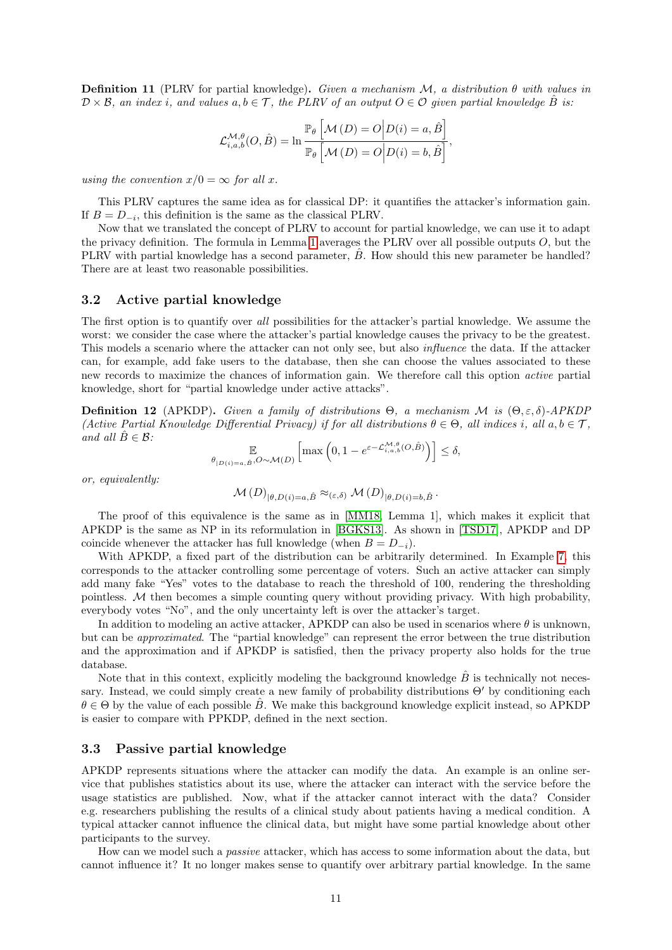<span id="page-10-2"></span>**Definition 11** (PLRV for partial knowledge). Given a mechanism M, a distribution  $\theta$  with values in  $\mathcal{D} \times \mathcal{B}$ , an index i, and values  $a, b \in \mathcal{T}$ , the PLRV of an output  $O \in \mathcal{O}$  given partial knowledge  $\hat{B}$  is:

$$
\mathcal{L}_{i,a,b}^{\mathcal{M},\theta}(O,\hat{B}) = \ln \frac{\mathbb{P}_{\theta}\left[\mathcal{M}\left(D\right) = O\big|D(i) = a, \hat{B}\right]}{\mathbb{P}_{\theta}\left[\mathcal{M}\left(D\right) = O\big|D(i) = b, \hat{B}\right]},
$$

using the convention  $x/0 = \infty$  for all x.

This PLRV captures the same idea as for classical DP: it quantifies the attacker's information gain. If  $B = D_{-i}$ , this definition is the same as the classical PLRV.

Now that we translated the concept of PLRV to account for partial knowledge, we can use it to adapt the privacy definition. The formula in Lemma [1](#page-9-2) averages the PLRV over all possible outputs O, but the PLRV with partial knowledge has a second parameter,  $\hat{B}$ . How should this new parameter be handled? There are at least two reasonable possibilities.

#### <span id="page-10-0"></span>3.2 Active partial knowledge

The first option is to quantify over all possibilities for the attacker's partial knowledge. We assume the worst: we consider the case where the attacker's partial knowledge causes the privacy to be the greatest. This models a scenario where the attacker can not only see, but also *influence* the data. If the attacker can, for example, add fake users to the database, then she can choose the values associated to these new records to maximize the chances of information gain. We therefore call this option active partial knowledge, short for "partial knowledge under active attacks".

**Definition 12** (APKDP). Given a family of distributions  $\Theta$ , a mechanism M is  $(\Theta, \varepsilon, \delta)$ -APKDP (Active Partial Knowledge Differential Privacy) if for all distributions  $\theta \in \Theta$ , all indices i, all  $a, b \in \mathcal{T}$ , and all  $\hat{B} \in \mathcal{B}$ :

$$
\mathop{\mathbb{E}}_{\theta_{|D(i)=a,\hat{B}},O\sim\mathcal{M}(D)}\left[\max\left(0,1-e^{\varepsilon-\mathcal{L}_{i,a,b}^{\mathcal{M},\theta}(O,\hat{B})}\right)\right]\leq\delta,
$$

or, equivalently:

$$
\mathcal{M}(D)_{|\theta, D(i) = a, \hat{B}} \approx_{(\varepsilon, \delta)} \mathcal{M}(D)_{|\theta, D(i) = b, \hat{B}}.
$$

The proof of this equivalence is the same as in [\[MM18,](#page-30-6) Lemma 1], which makes it explicit that APKDP is the same as NP in its reformulation in [\[BGKS13\]](#page-29-2). As shown in [\[TSD17\]](#page-31-1), APKDP and DP coincide whenever the attacker has full knowledge (when  $B = D_{-i}$ ).

With APKDP, a fixed part of the distribution can be arbitrarily determined. In Example [7,](#page-9-3) this corresponds to the attacker controlling some percentage of voters. Such an active attacker can simply add many fake "Yes" votes to the database to reach the threshold of 100, rendering the thresholding pointless.  $M$  then becomes a simple counting query without providing privacy. With high probability, everybody votes "No", and the only uncertainty left is over the attacker's target.

In addition to modeling an active attacker, APKDP can also be used in scenarios where  $\theta$  is unknown, but can be approximated. The "partial knowledge" can represent the error between the true distribution and the approximation and if APKDP is satisfied, then the privacy property also holds for the true database.

Note that in this context, explicitly modeling the background knowledge  $\hat{B}$  is technically not necessary. Instead, we could simply create a new family of probability distributions  $\Theta'$  by conditioning each  $\theta \in \Theta$  by the value of each possible B. We make this background knowledge explicit instead, so APKDP is easier to compare with PPKDP, defined in the next section.

#### <span id="page-10-1"></span>3.3 Passive partial knowledge

APKDP represents situations where the attacker can modify the data. An example is an online service that publishes statistics about its use, where the attacker can interact with the service before the usage statistics are published. Now, what if the attacker cannot interact with the data? Consider e.g. researchers publishing the results of a clinical study about patients having a medical condition. A typical attacker cannot influence the clinical data, but might have some partial knowledge about other participants to the survey.

How can we model such a *passive* attacker, which has access to some information about the data, but cannot influence it? It no longer makes sense to quantify over arbitrary partial knowledge. In the same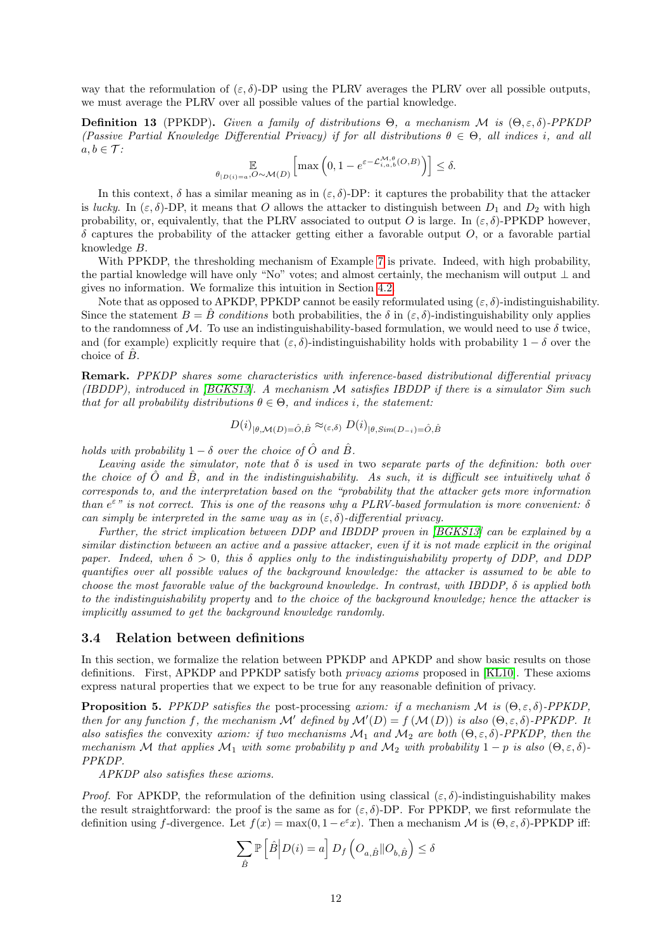way that the reformulation of  $(\varepsilon, \delta)$ -DP using the PLRV averages the PLRV over all possible outputs, we must average the PLRV over all possible values of the partial knowledge.

**Definition 13** (PPKDP). Given a family of distributions  $\Theta$ , a mechanism  $\mathcal{M}$  is  $(\Theta, \varepsilon, \delta)$ -PPKDP (Passive Partial Knowledge Differential Privacy) if for all distributions  $\theta \in \Theta$ , all indices i, and all  $a, b \in \mathcal{T}$ :

$$
\mathop{\mathbb{E}}_{\theta_{|D(i)=a},O\sim\mathcal{M}(D)}\left[\max\left(0,1-e^{\varepsilon-\mathcal{L}_{i,a,b}^{\mathcal{M},\theta}(O,B)}\right)\right]\leq\delta.
$$

In this context,  $\delta$  has a similar meaning as in ( $\varepsilon$ ,  $\delta$ )-DP: it captures the probability that the attacker is lucky. In  $(\varepsilon, \delta)$ -DP, it means that O allows the attacker to distinguish between  $D_1$  and  $D_2$  with high probability, or, equivalently, that the PLRV associated to output O is large. In  $(\varepsilon, \delta)$ -PPKDP however,  $\delta$  captures the probability of the attacker getting either a favorable output O, or a favorable partial knowledge B.

With PPKDP, the thresholding mechanism of Example [7](#page-9-3) is private. Indeed, with high probability, the partial knowledge will have only "No" votes; and almost certainly, the mechanism will output ⊥ and gives no information. We formalize this intuition in Section [4.2.](#page-18-0)

Note that as opposed to APKDP, PPKDP cannot be easily reformulated using  $(\varepsilon, \delta)$ -indistinguishability. Since the statement  $B = \hat{B}$  conditions both probabilities, the  $\delta$  in  $(\varepsilon, \delta)$ -indistinguishability only applies to the randomness of M. To use an indistinguishability-based formulation, we would need to use  $\delta$  twice, and (for example) explicitly require that  $(\varepsilon, \delta)$ -indistinguishability holds with probability  $1 - \delta$  over the choice of  $\hat{B}$ .

Remark. PPKDP shares some characteristics with inference-based distributional differential privacy (IBDDP), introduced in [\[BGKS13\]](#page-29-2). A mechanism M satisfies IBDDP if there is a simulator Sim such that for all probability distributions  $\theta \in \Theta$ , and indices i, the statement:

$$
D(i)_{|\theta, \mathcal{M}(D) = \hat{O}, \hat{B}} \approx_{(\varepsilon, \delta)} D(i)_{|\theta, \text{Sim}(D_{-i}) = \hat{O}, \hat{B}}
$$

holds with probability  $1 - \delta$  over the choice of  $\hat{O}$  and  $\hat{B}$ .

Leaving aside the simulator, note that  $\delta$  is used in two separate parts of the definition: both over the choice of  $\hat{O}$  and  $\hat{B}$ , and in the indistinguishability. As such, it is difficult see intuitively what  $\delta$ corresponds to, and the interpretation based on the "probability that the attacker gets more information than  $e^{\varepsilon n}$  is not correct. This is one of the reasons why a PLRV-based formulation is more convenient:  $\delta$ can simply be interpreted in the same way as in  $(\varepsilon, \delta)$ -differential privacy.

Further, the strict implication between DDP and IBDDP proven in [\[BGKS13\]](#page-29-2) can be explained by a similar distinction between an active and a passive attacker, even if it is not made explicit in the original paper. Indeed, when  $\delta > 0$ , this  $\delta$  applies only to the indistinguishability property of DDP, and DDP quantifies over all possible values of the background knowledge: the attacker is assumed to be able to choose the most favorable value of the background knowledge. In contrast, with IBDDP,  $\delta$  is applied both to the indistinguishability property and to the choice of the background knowledge; hence the attacker is implicitly assumed to get the background knowledge randomly.

#### <span id="page-11-0"></span>3.4 Relation between definitions

In this section, we formalize the relation between PPKDP and APKDP and show basic results on those definitions. First, APKDP and PPKDP satisfy both privacy axioms proposed in [\[KL10\]](#page-30-7). These axioms express natural properties that we expect to be true for any reasonable definition of privacy.

**Proposition 5.** PPKDP satisfies the post-processing axiom: if a mechanism M is  $(\Theta, \varepsilon, \delta)$ -PPKDP, then for any function f, the mechanism M' defined by  $\mathcal{M}'(D) = f(\mathcal{M}(D))$  is also  $(\Theta, \varepsilon, \delta)$ -PPKDP. It also satisfies the convexity axiom: if two mechanisms  $\mathcal{M}_1$  and  $\mathcal{M}_2$  are both  $(\Theta, \varepsilon, \delta)$ -PPKDP, then the mechanism M that applies  $\mathcal{M}_1$  with some probability p and  $\mathcal{M}_2$  with probability  $1-p$  is also  $(\Theta, \varepsilon, \delta)$ -PPKDP.

APKDP also satisfies these axioms.

*Proof.* For APKDP, the reformulation of the definition using classical  $(\varepsilon, \delta)$ -indistinguishability makes the result straightforward: the proof is the same as for  $(\varepsilon, \delta)$ -DP. For PPKDP, we first reformulate the definition using f-divergence. Let  $f(x) = \max(0, 1 - e^{\varepsilon}x)$ . Then a mechanism M is  $(\Theta, \varepsilon, \delta)$ -PPKDP iff:

$$
\sum_{\hat{B}} \mathbb{P}\left[\hat{B} \middle| D(i) = a\right] D_f\left(O_{a,\hat{B}} \| O_{b,\hat{B}}\right) \le \delta
$$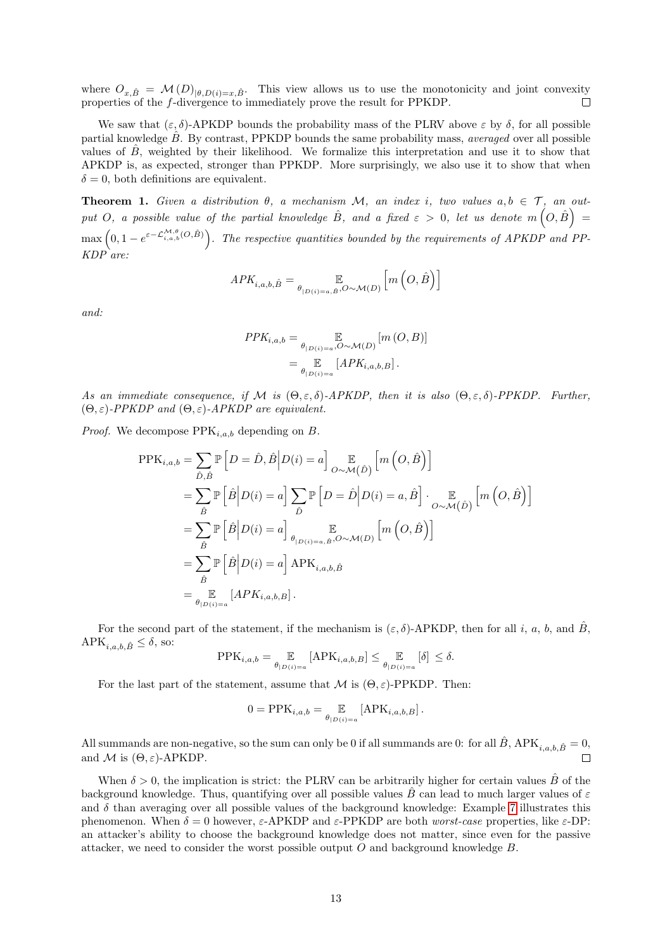where  $O_{x,\hat{B}} = \mathcal{M}(D)_{(\theta,D(i)=x,\hat{B})}$ . This view allows us to use the monotonicity and joint convexity properties of the f-divergence to immediately prove the result for PPKDP.

We saw that  $(\varepsilon, \delta)$ -APKDP bounds the probability mass of the PLRV above  $\varepsilon$  by  $\delta$ , for all possible partial knowledge  $\ddot{B}$ . By contrast, PPKDP bounds the same probability mass, *averaged* over all possible values of  $\tilde{B}$ , weighted by their likelihood. We formalize this interpretation and use it to show that APKDP is, as expected, stronger than PPKDP. More surprisingly, we also use it to show that when  $\delta = 0$ , both definitions are equivalent.

<span id="page-12-0"></span>**Theorem 1.** Given a distribution  $\theta$ , a mechanism M, an index i, two values  $a, b \in \mathcal{T}$ , an output O, a possible value of the partial knowledge  $\hat{B}$ , and a fixed  $\varepsilon > 0$ , let us denote  $m\left(O, \hat{B}\right) =$  $\max\left(0,1-e^{\varepsilon-\mathcal{L}_{i,a,b}^{M,\theta}(O,\hat{B})}\right)$ . The respective quantities bounded by the requirements of APKDP and PP- $KDP$ <sup> $\alpha$ re:</sup>

$$
APK_{i,a,b,\hat{B}} = \mathop{\mathbb{E}}_{\theta_{|D(i)=a,\hat{B}},O \sim \mathcal{M}(D)} \left[ m\left(O,\hat{B}\right) \right]
$$

and:

$$
PPK_{i,a,b} = \mathop{\mathbb{E}}_{\theta_{|D(i)=a},O \sim \mathcal{M}(D)} [m (O, B)]
$$

$$
= \mathop{\mathbb{E}}_{\theta_{|D(i)=a}} [APK_{i,a,b,B}].
$$

As an immediate consequence, if M is  $(\Theta, \varepsilon, \delta)$ -APKDP, then it is also  $(\Theta, \varepsilon, \delta)$ -PPKDP. Further,  $(\Theta, \varepsilon)$ -PPKDP and  $(\Theta, \varepsilon)$ -APKDP are equivalent.

*Proof.* We decompose  $PPK_{i,a,b}$  depending on B.

$$
\begin{split} \text{PPK}_{i,a,b} &= \sum_{\hat{D},\hat{B}} \mathbb{P}\left[D = \hat{D}, \hat{B} \middle| D(i) = a\right] \underset{O \sim \mathcal{M}(\hat{D})}{\mathbb{E}} \left[m\left(O, \hat{B}\right)\right] \\ &= \sum_{\hat{B}} \mathbb{P}\left[\hat{B} \middle| D(i) = a\right] \sum_{\hat{D}} \mathbb{P}\left[D = \hat{D} \middle| D(i) = a, \hat{B}\right] \cdot \underset{O \sim \mathcal{M}(\hat{D})}{\mathbb{E}} \left[m\left(O, \hat{B}\right)\right] \\ &= \sum_{\hat{B}} \mathbb{P}\left[\hat{B} \middle| D(i) = a\right] \underset{\theta_{|D(i) = a, \hat{B}}, O \sim \mathcal{M}(D)}{\mathbb{E}} \left[m\left(O, \hat{B}\right)\right] \\ &= \sum_{\hat{B}} \mathbb{P}\left[\hat{B} \middle| D(i) = a\right] \text{APK}_{i,a,b,\hat{B}} \\ &= \underset{\theta_{|D(i) = a}}{\mathbb{E}} \left[APK_{i,a,b,B}\right]. \end{split}
$$

For the second part of the statement, if the mechanism is  $(\varepsilon, \delta)$ -APKDP, then for all i, a, b, and  $\hat{B}$ ,  $\text{APK}_{i,a,b,\hat{B}}\leq \delta,$  so:

$$
\text{PPK}_{i,a,b} = \underset{\theta|_{D(i)=a}}{\mathbb{E}} \left[ \text{APK}_{i,a,b,B} \right] \leq \underset{\theta|_{D(i)=a}}{\mathbb{E}} \left[ \delta \right] \leq \delta.
$$

For the last part of the statement, assume that  $\mathcal M$  is  $(\Theta, \varepsilon)$ -PPKDP. Then:

$$
0 = \text{PPK}_{i,a,b} = \mathop{\mathbb{E}}_{\theta_{|D(i)=a}} [\text{APK}_{i,a,b,B}].
$$

All summands are non-negative, so the sum can only be 0 if all summands are 0: for all  $\hat{B}$ , APK<sub>i,a,b,</sub> $\hat{B} = 0$ , and M is  $(\Theta, \varepsilon)$ -APKDP.

When  $\delta > 0$ , the implication is strict: the PLRV can be arbitrarily higher for certain values  $\hat{B}$  of the background knowledge. Thus, quantifying over all possible values  $\hat{B}$  can lead to much larger values of  $\varepsilon$ and  $\delta$  than averaging over all possible values of the background knowledge: Example [7](#page-9-3) illustrates this phenomenon. When  $\delta = 0$  however,  $\varepsilon$ -APKDP and  $\varepsilon$ -PPKDP are both worst-case properties, like  $\varepsilon$ -DP: an attacker's ability to choose the background knowledge does not matter, since even for the passive attacker, we need to consider the worst possible output  $O$  and background knowledge  $B$ .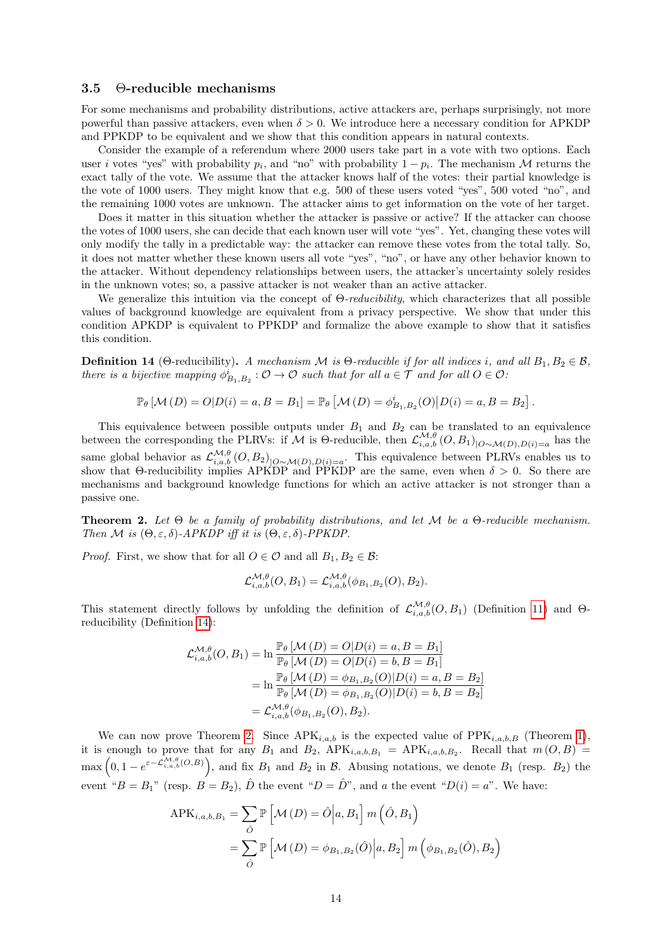### <span id="page-13-0"></span>3.5 Θ-reducible mechanisms

For some mechanisms and probability distributions, active attackers are, perhaps surprisingly, not more powerful than passive attackers, even when  $\delta > 0$ . We introduce here a necessary condition for APKDP and PPKDP to be equivalent and we show that this condition appears in natural contexts.

Consider the example of a referendum where 2000 users take part in a vote with two options. Each user *i* votes "yes" with probability  $p_i$ , and "no" with probability  $1 - p_i$ . The mechanism M returns the exact tally of the vote. We assume that the attacker knows half of the votes: their partial knowledge is the vote of 1000 users. They might know that e.g. 500 of these users voted "yes", 500 voted "no", and the remaining 1000 votes are unknown. The attacker aims to get information on the vote of her target.

Does it matter in this situation whether the attacker is passive or active? If the attacker can choose the votes of 1000 users, she can decide that each known user will vote "yes". Yet, changing these votes will only modify the tally in a predictable way: the attacker can remove these votes from the total tally. So, it does not matter whether these known users all vote "yes", "no", or have any other behavior known to the attacker. Without dependency relationships between users, the attacker's uncertainty solely resides in the unknown votes; so, a passive attacker is not weaker than an active attacker.

We generalize this intuition via the concept of  $\Theta$ -reducibility, which characterizes that all possible values of background knowledge are equivalent from a privacy perspective. We show that under this condition APKDP is equivalent to PPKDP and formalize the above example to show that it satisfies this condition.

<span id="page-13-1"></span>**Definition 14** (Θ-reducibility). A mechanism M is  $\Theta$ -reducible if for all indices i, and all  $B_1, B_2 \in \mathcal{B}$ , there is a bijective mapping  $\phi_{B_1,B_2}^i: \mathcal{O} \to \mathcal{O}$  such that for all  $a \in \mathcal{T}$  and for all  $O \in \mathcal{O}$ .

$$
\mathbb{P}_{\theta} [M (D) = O | D(i) = a, B = B_1] = \mathbb{P}_{\theta} [M (D) = \phi_{B_1, B_2}^{i}(O) | D(i) = a, B = B_2].
$$

This equivalence between possible outputs under  $B_1$  and  $B_2$  can be translated to an equivalence between the corresponding the PLRVs: if M is  $\Theta$ -reducible, then  $\mathcal{L}_{i,a,b}^{\mathcal{M},\theta}(O,B_1)_{\vert O\sim\mathcal{M}(D),D(i)=a}$  has the same global behavior as  $\mathcal{L}_{i,a,b}^{\mathcal{M},\theta}(O,B_2)_{\big[O\sim\mathcal{M}(D),D(i)=a}$ . This equivalence between PLRVs enables us to show that  $\Theta$ -reducibility implies APKDP and PPKDP are the same, even when  $\delta > 0$ . So there are mechanisms and background knowledge functions for which an active attacker is not stronger than a passive one.

<span id="page-13-2"></span>**Theorem 2.** Let  $\Theta$  be a family of probability distributions, and let  $\mathcal M$  be a  $\Theta$ -reducible mechanism. Then M is  $(\Theta, \varepsilon, \delta)$ -APKDP iff it is  $(\Theta, \varepsilon, \delta)$ -PPKDP.

*Proof.* First, we show that for all  $O \in \mathcal{O}$  and all  $B_1, B_2 \in \mathcal{B}$ :

$$
\mathcal{L}_{i,a,b}^{\mathcal{M},\theta}(O,B_1) = \mathcal{L}_{i,a,b}^{\mathcal{M},\theta}(\phi_{B_1,B_2}(O),B_2).
$$

This statement directly follows by unfolding the definition of  $\mathcal{L}_{i,a,b}^{\mathcal{M},\theta}(O, B_1)$  (Definition [11\)](#page-10-2) and  $\Theta$ reducibility (Definition [14\)](#page-13-1):

$$
\mathcal{L}_{i,a,b}^{\mathcal{M},\theta}(O,B_1) = \ln \frac{\mathbb{P}_{\theta}\left[\mathcal{M}\left(D\right) = O|D(i) = a, B = B_1\right]}{\mathbb{P}_{\theta}\left[\mathcal{M}\left(D\right) = O|D(i) = b, B = B_1\right]}
$$

$$
= \ln \frac{\mathbb{P}_{\theta}\left[\mathcal{M}\left(D\right) = \phi_{B_1,B_2}(O)|D(i) = a, B = B_2\right]}{\mathbb{P}_{\theta}\left[\mathcal{M}\left(D\right) = \phi_{B_1,B_2}(O)|D(i) = b, B = B_2\right]}
$$

$$
= \mathcal{L}_{i,a,b}^{\mathcal{M},\theta}(\phi_{B_1,B_2}(O),B_2).
$$

We can now prove Theorem [2.](#page-13-2) Since  $APK_{i,a,b}$  is the expected value of  $PPK_{i,a,b,B}$  (Theorem [1\)](#page-12-0), it is enough to prove that for any  $B_1$  and  $B_2$ ,  $APK_{i,a,b,B_1} = APK_{i,a,b,B_2}$ . Recall that  $m(O, B) =$  $\max\left(0,1-e^{\varepsilon-\mathcal{L}_{i,a,b}^{M,\theta}(O,B)}\right)$ , and fix  $B_1$  and  $B_2$  in  $\mathcal{B}$ . Abusing notations, we denote  $B_1$  (resp.  $B_2$ ) the event " $B = B_1$ " (resp.  $B = B_2$ ),  $\hat{D}$  the event " $D = \hat{D}$ ", and a the event " $D(i) = a$ ". We have:

$$
APK_{i,a,b,B_1} = \sum_{\hat{O}} \mathbb{P}\left[\mathcal{M}\left(D\right) = \hat{O}\middle|a, B_1\right] m\left(\hat{O}, B_1\right)
$$

$$
= \sum_{\hat{O}} \mathbb{P}\left[\mathcal{M}\left(D\right) = \phi_{B_1,B_2}(\hat{O})\middle|a, B_2\right] m\left(\phi_{B_1,B_2}(\hat{O}), B_2\right)
$$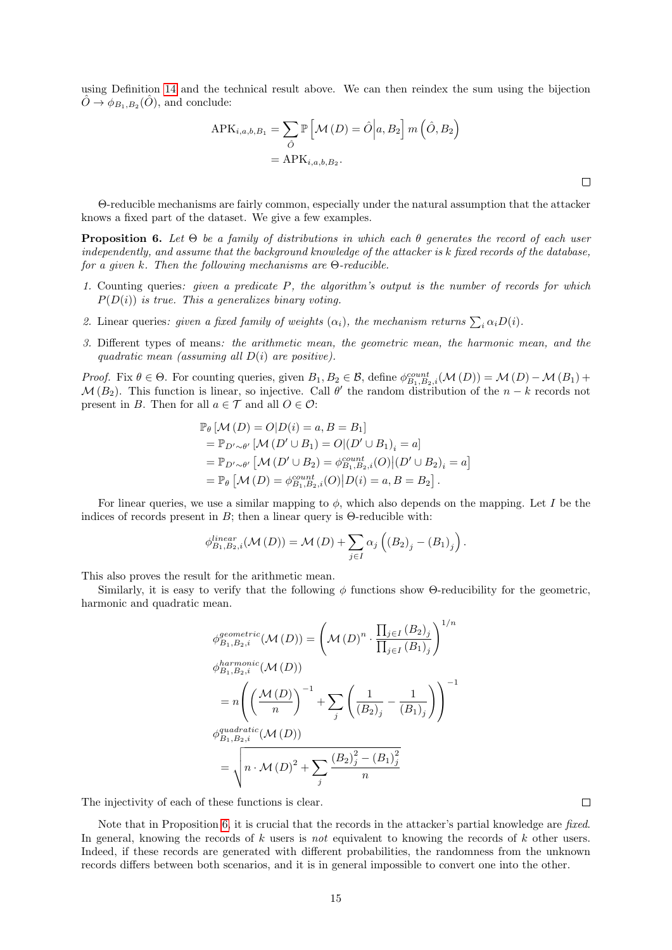using Definition [14](#page-13-1) and the technical result above. We can then reindex the sum using the bijection  $\hat{O} \rightarrow \phi_{B_1,B_2}(\hat{O}),$  and conclude:

$$
APK_{i,a,b,B_1} = \sum_{\hat{O}} \mathbb{P}\left[\mathcal{M}\left(D\right) = \hat{O}\middle|a, B_2\right] m\left(\hat{O}, B_2\right)
$$

$$
= APK_{i,a,b,B_2}.
$$

Θ-reducible mechanisms are fairly common, especially under the natural assumption that the attacker knows a fixed part of the dataset. We give a few examples.

<span id="page-14-0"></span>**Proposition 6.** Let  $\Theta$  be a family of distributions in which each  $\theta$  generates the record of each user independently, and assume that the background knowledge of the attacker is k fixed records of the database, for a given k. Then the following mechanisms are Θ-reducible.

- 1. Counting queries: given a predicate P, the algorithm's output is the number of records for which  $P(D(i))$  is true. This a generalizes binary voting.
- 2. Linear queries: given a fixed family of weights  $(\alpha_i)$ , the mechanism returns  $\sum_i \alpha_i D(i)$ .
- 3. Different types of means: the arithmetic mean, the geometric mean, the harmonic mean, and the quadratic mean (assuming all  $D(i)$  are positive).

Proof. Fix  $\theta \in \Theta$ . For counting queries, given  $B_1, B_2 \in \mathcal{B}$ , define  $\phi_{B_1, B_2, i}^{count}(\mathcal{M}(D)) = \mathcal{M}(D) - \mathcal{M}(B_1) +$  $\mathcal{M}(B_2)$ . This function is linear, so injective. Call  $\theta'$  the random distribution of the  $n-k$  records not present in B. Then for all  $a \in \mathcal{T}$  and all  $O \in \mathcal{O}$ :

$$
\mathbb{P}_{\theta} \left[ \mathcal{M} \left( D \right) = O \middle| D(i) = a, B = B_1 \right]
$$
\n
$$
= \mathbb{P}_{D' \sim \theta'} \left[ \mathcal{M} \left( D' \cup B_1 \right) = O \middle| \left( D' \cup B_1 \right)_i = a \right]
$$
\n
$$
= \mathbb{P}_{D' \sim \theta'} \left[ \mathcal{M} \left( D' \cup B_2 \right) = \phi_{B_1, B_2, i}^{count}(O) \middle| \left( D' \cup B_2 \right)_i = a \right]
$$
\n
$$
= \mathbb{P}_{\theta} \left[ \mathcal{M} \left( D \right) = \phi_{B_1, B_2, i}^{count}(O) \middle| D(i) = a, B = B_2 \right].
$$

For linear queries, we use a similar mapping to  $\phi$ , which also depends on the mapping. Let I be the indices of records present in  $B$ ; then a linear query is  $\Theta$ -reducible with:

$$
\phi_{B_1,B_2,i}^{linear}(\mathcal{M}(D)) = \mathcal{M}(D) + \sum_{j \in I} \alpha_j \left( \left( B_2 \right)_j - \left( B_1 \right)_j \right).
$$

This also proves the result for the arithmetic mean.

Similarly, it is easy to verify that the following  $\phi$  functions show Θ-reducibility for the geometric, harmonic and quadratic mean.

$$
\phi_{B_1, B_2, i}^{geometric}(\mathcal{M}(D)) = \left(\mathcal{M}(D)^n \cdot \frac{\prod_{j \in I} (B_2)_j}{\prod_{j \in I} (B_1)_j}\right)^{1/n}
$$
  
\n
$$
\phi_{B_1, B_2, i}^{harmonic}(\mathcal{M}(D))
$$
  
\n
$$
= n \left( \left(\frac{\mathcal{M}(D)}{n}\right)^{-1} + \sum_j \left(\frac{1}{(B_2)_j} - \frac{1}{(B_1)_j}\right) \right)^{-1}
$$
  
\n
$$
\phi_{B_1, B_2, i}^{quadratic}(\mathcal{M}(D))
$$
  
\n
$$
= \sqrt{n \cdot \mathcal{M}(D)^2 + \sum_j \frac{(B_2)_j^2 - (B_1)_j^2}{n}}
$$

The injectivity of each of these functions is clear.

Note that in Proposition [6,](#page-14-0) it is crucial that the records in the attacker's partial knowledge are fixed. In general, knowing the records of k users is not equivalent to knowing the records of k other users. Indeed, if these records are generated with different probabilities, the randomness from the unknown records differs between both scenarios, and it is in general impossible to convert one into the other.

 $\Box$ 

 $\Box$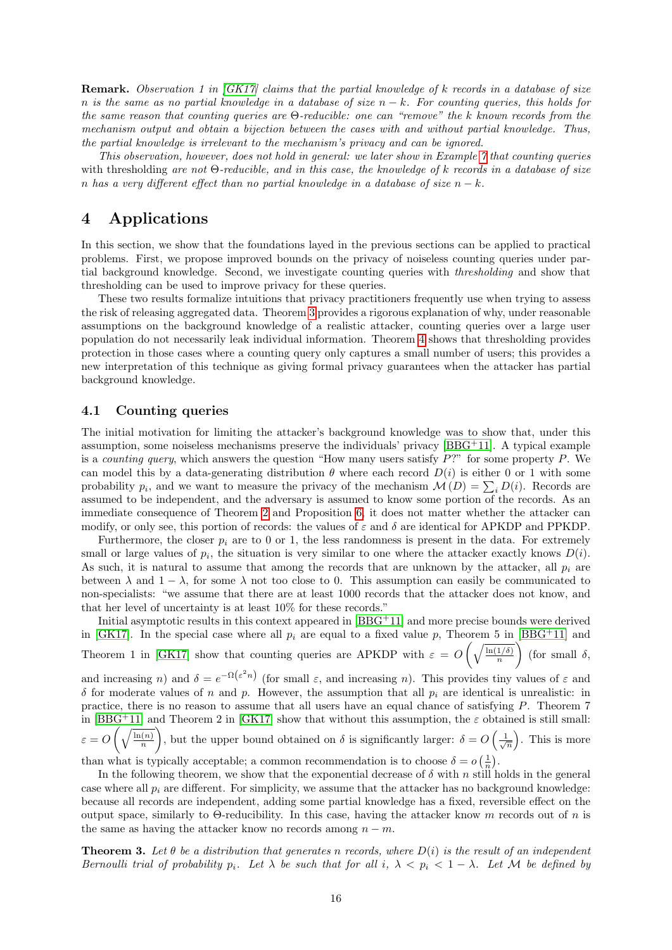**Remark.** Observation 1 in  $|GK17|$  claims that the partial knowledge of k records in a database of size n is the same as no partial knowledge in a database of size  $n - k$ . For counting queries, this holds for the same reason that counting queries are  $\Theta$ -reducible: one can "remove" the k known records from the mechanism output and obtain a bijection between the cases with and without partial knowledge. Thus, the partial knowledge is irrelevant to the mechanism's privacy and can be ignored.

This observation, however, does not hold in general: we later show in Example [7](#page-9-3) that counting queries with thresholding are not  $\Theta$ -reducible, and in this case, the knowledge of k records in a database of size n has a very different effect than no partial knowledge in a database of size  $n - k$ .

## <span id="page-15-0"></span>4 Applications

In this section, we show that the foundations layed in the previous sections can be applied to practical problems. First, we propose improved bounds on the privacy of noiseless counting queries under partial background knowledge. Second, we investigate counting queries with thresholding and show that thresholding can be used to improve privacy for these queries.

These two results formalize intuitions that privacy practitioners frequently use when trying to assess the risk of releasing aggregated data. Theorem [3](#page-15-2) provides a rigorous explanation of why, under reasonable assumptions on the background knowledge of a realistic attacker, counting queries over a large user population do not necessarily leak individual information. Theorem [4](#page-19-0) shows that thresholding provides protection in those cases where a counting query only captures a small number of users; this provides a new interpretation of this technique as giving formal privacy guarantees when the attacker has partial background knowledge.

#### <span id="page-15-1"></span>4.1 Counting queries

The initial motivation for limiting the attacker's background knowledge was to show that, under this assumption, some noiseless mechanisms preserve the individuals' privacy [\[BBG](#page-29-1)+11]. A typical example is a *counting query*, which answers the question "How many users satisfy  $P$ ?" for some property P. We can model this by a data-generating distribution  $\theta$  where each record  $D(i)$  is either 0 or 1 with some probability  $p_i$ , and we want to measure the privacy of the mechanism  $\mathcal{M}(D) = \sum_i D(i)$ . Records are assumed to be independent, and the adversary is assumed to know some portion of the records. As an immediate consequence of Theorem [2](#page-13-2) and Proposition [6,](#page-14-0) it does not matter whether the attacker can modify, or only see, this portion of records: the values of  $\varepsilon$  and  $\delta$  are identical for APKDP and PPKDP.

Furthermore, the closer  $p_i$  are to 0 or 1, the less randomness is present in the data. For extremely small or large values of  $p_i$ , the situation is very similar to one where the attacker exactly knows  $D(i)$ . As such, it is natural to assume that among the records that are unknown by the attacker, all  $p_i$  are between  $\lambda$  and  $1 - \lambda$ , for some  $\lambda$  not too close to 0. This assumption can easily be communicated to non-specialists: "we assume that there are at least 1000 records that the attacker does not know, and that her level of uncertainty is at least 10% for these records."

Initial asymptotic results in this context appeared in [\[BBG](#page-29-1)+11] and more precise bounds were derived in [\[GK17\]](#page-30-8). In the special case where all  $p_i$  are equal to a fixed value p, Theorem 5 in [\[BBG](#page-29-1)+11] and Theorem 1 in [\[GK17\]](#page-30-8) show that counting queries are APKDP with  $\varepsilon = O\left(\sqrt{\frac{\ln(1/\delta)}{n}}\right)$ n  $\int$  (for small  $\delta$ ,

and increasing n) and  $\delta = e^{-\Omega(\varepsilon^2 n)}$  (for small  $\varepsilon$ , and increasing n). This provides tiny values of  $\varepsilon$  and  $\delta$  for moderate values of n and p. However, the assumption that all  $p_i$  are identical is unrealistic: in practice, there is no reason to assume that all users have an equal chance of satisfying P. Theorem 7 in [\[BBG](#page-29-1)<sup>+</sup>11] and Theorem 2 in [\[GK17\]](#page-30-8) show that without this assumption, the  $\varepsilon$  obtained is still small:  $\varepsilon = O\left(\sqrt{\frac{\ln(n)}{n}}\right)$ n L. , but the upper bound obtained on  $\delta$  is significantly larger:  $\delta = O\left(\frac{1}{\sqrt{n}}\right)$ . This is more than what is typically acceptable; a common recommendation is to choose  $\delta = o\left(\frac{1}{n}\right)$ .

In the following theorem, we show that the exponential decrease of  $\delta$  with n still holds in the general case where all  $p_i$  are different. For simplicity, we assume that the attacker has no background knowledge: because all records are independent, adding some partial knowledge has a fixed, reversible effect on the output space, similarly to Θ-reducibility. In this case, having the attacker know m records out of n is the same as having the attacker know no records among  $n - m$ .

<span id="page-15-2"></span>**Theorem 3.** Let  $\theta$  be a distribution that generates n records, where  $D(i)$  is the result of an independent Bernoulli trial of probability p<sub>i</sub>. Let  $\lambda$  be such that for all i,  $\lambda < p_i < 1 - \lambda$ . Let M be defined by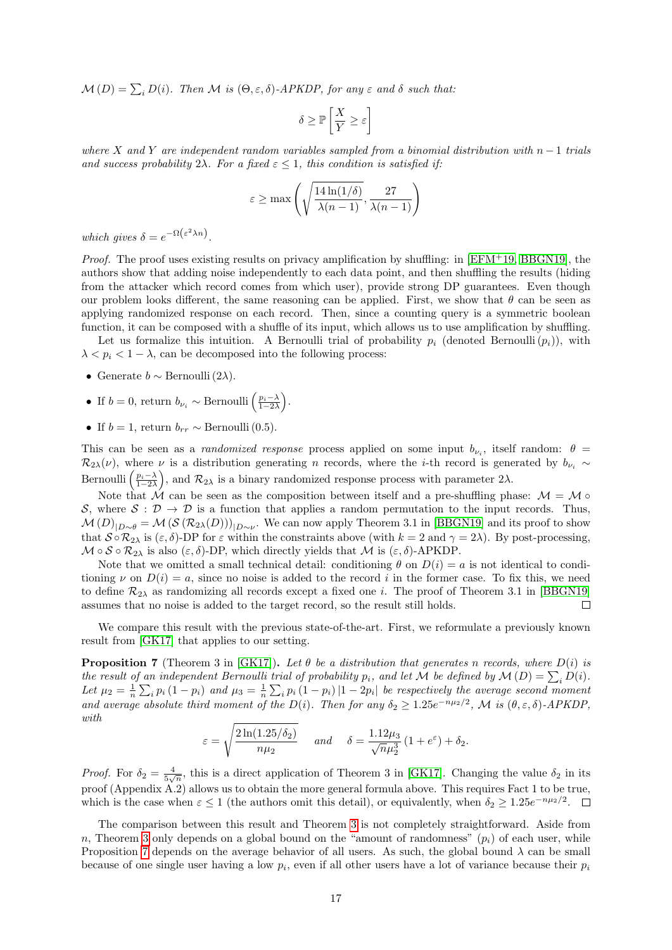$\mathcal{M}(D) = \sum_i D(i)$ . Then  $\mathcal M$  is  $(\Theta, \varepsilon, \delta)$ -APKDP, for any  $\varepsilon$  and  $\delta$  such that:

$$
\delta \ge \mathbb{P}\left[\frac{X}{Y} \ge \varepsilon\right]
$$

where X and Y are independent random variables sampled from a binomial distribution with  $n-1$  trials and success probability  $2\lambda$ . For a fixed  $\varepsilon \leq 1$ , this condition is satisfied if:

$$
\varepsilon \ge \max\left(\sqrt{\frac{14\ln(1/\delta)}{\lambda(n-1)}}, \frac{27}{\lambda(n-1)}\right)
$$

which gives  $\delta = e^{-\Omega(\varepsilon^2 \lambda n)}$ .

*Proof.* The proof uses existing results on privacy amplification by shuffling: in  $[EFM+19, BBGN19]$  $[EFM+19, BBGN19]$  $[EFM+19, BBGN19]$ , the authors show that adding noise independently to each data point, and then shuffling the results (hiding from the attacker which record comes from which user), provide strong DP guarantees. Even though our problem looks different, the same reasoning can be applied. First, we show that  $\theta$  can be seen as applying randomized response on each record. Then, since a counting query is a symmetric boolean function, it can be composed with a shuffle of its input, which allows us to use amplification by shuffling.

Let us formalize this intuition. A Bernoulli trial of probability  $p_i$  (denoted Bernoulli  $(p_i)$ ), with  $\lambda < p_i < 1 - \lambda$ , can be decomposed into the following process:

- Generate  $b \sim \text{Bernoulli}(2\lambda)$ .
- If  $b = 0$ , return  $b_{\nu_i} \sim \text{Bernoulli}\left(\frac{p_i \lambda}{1 2\lambda}\right)$ .
- If  $b = 1$ , return  $b_{rr} \sim \text{Bernoulli}(0.5)$ .

This can be seen as a *randomized response* process applied on some input  $b_{\nu_i}$ , itself random:  $\theta =$  $\mathcal{R}_{2\lambda}(\nu)$ , where  $\nu$  is a distribution generating n records, where the *i*-th record is generated by  $b_{\nu_i} \sim$ Bernoulli  $\left(\frac{p_i-\lambda}{1-2\lambda}\right)$ , and  $\mathcal{R}_{2\lambda}$  is a binary randomized response process with parameter  $2\lambda$ .

Note that  $\mathcal M$  can be seen as the composition between itself and a pre-shuffling phase:  $\mathcal M = \mathcal M \circ$ S, where  $S : \mathcal{D} \to \mathcal{D}$  is a function that applies a random permutation to the input records. Thus,  $\mathcal{M}(D)_{|D\sim\theta} = \mathcal{M}(\mathcal{S}(\mathcal{R}_{2\lambda}(D)))_{|D\sim\nu}$ . We can now apply Theorem 3.1 in [\[BBGN19\]](#page-29-5) and its proof to show that  $S \circ \mathcal{R}_{2\lambda}$  is  $(\varepsilon, \delta)$ -DP for  $\varepsilon$  within the constraints above (with  $k = 2$  and  $\gamma = 2\lambda$ ). By post-processing,  $M \circ S \circ \mathcal{R}_{2\lambda}$  is also  $(\varepsilon, \delta)$ -DP, which directly yields that M is  $(\varepsilon, \delta)$ -APKDP.

Note that we omitted a small technical detail: conditioning  $\theta$  on  $D(i) = a$  is not identical to conditioning  $\nu$  on  $D(i) = a$ , since no noise is added to the record i in the former case. To fix this, we need to define  $\mathcal{R}_{2\lambda}$  as randomizing all records except a fixed one *i*. The proof of Theorem 3.1 in [\[BBGN19\]](#page-29-5) assumes that no noise is added to the target record, so the result still holds.  $\Box$ 

We compare this result with the previous state-of-the-art. First, we reformulate a previously known result from [\[GK17\]](#page-30-8) that applies to our setting.

<span id="page-16-0"></span>**Proposition 7** (Theorem 3 in [\[GK17\]](#page-30-8)). Let  $\theta$  be a distribution that generates n records, where  $D(i)$  is the result of an independent Bernoulli trial of probability  $p_i$ , and let M be defined by  $\mathcal{M}(D) = \sum_i D(i)$ . Let  $\mu_2 = \frac{1}{n} \sum_i p_i (1-p_i)$  and  $\mu_3 = \frac{1}{n} \sum_i p_i (1-p_i) |1-2p_i|$  be respectively the average second moment and average absolute third moment of the  $D(i)$ . Then for any  $\delta_2 \geq 1.25e^{-n\mu_2/2}$ , M is  $(\theta, \varepsilon, \delta)$ -APKDP, with

$$
\varepsilon = \sqrt{\frac{2\ln(1.25/\delta_2)}{n\mu_2}} \quad \text{and} \quad \delta = \frac{1.12\mu_3}{\sqrt{n}\mu_2^3} \left(1 + e^{\varepsilon}\right) + \delta_2.
$$

*Proof.* For  $\delta_2 = \frac{4}{5\sqrt{n}}$ , this is a direct application of Theorem 3 in [\[GK17\]](#page-30-8). Changing the value  $\delta_2$  in its proof (Appendix A.2) allows us to obtain the more general formula above. This requires Fact 1 to be true, which is the case when  $\varepsilon \leq 1$  (the authors omit this detail), or equivalently, when  $\delta_2 \geq 1.25e^{-n\mu_2/2}$ .

The comparison between this result and Theorem [3](#page-15-2) is not completely straightforward. Aside from n, Theorem [3](#page-15-2) only depends on a global bound on the "amount of randomness"  $(p_i)$  of each user, while Proposition [7](#page-16-0) depends on the average behavior of all users. As such, the global bound  $\lambda$  can be small because of one single user having a low  $p_i$ , even if all other users have a lot of variance because their  $p_i$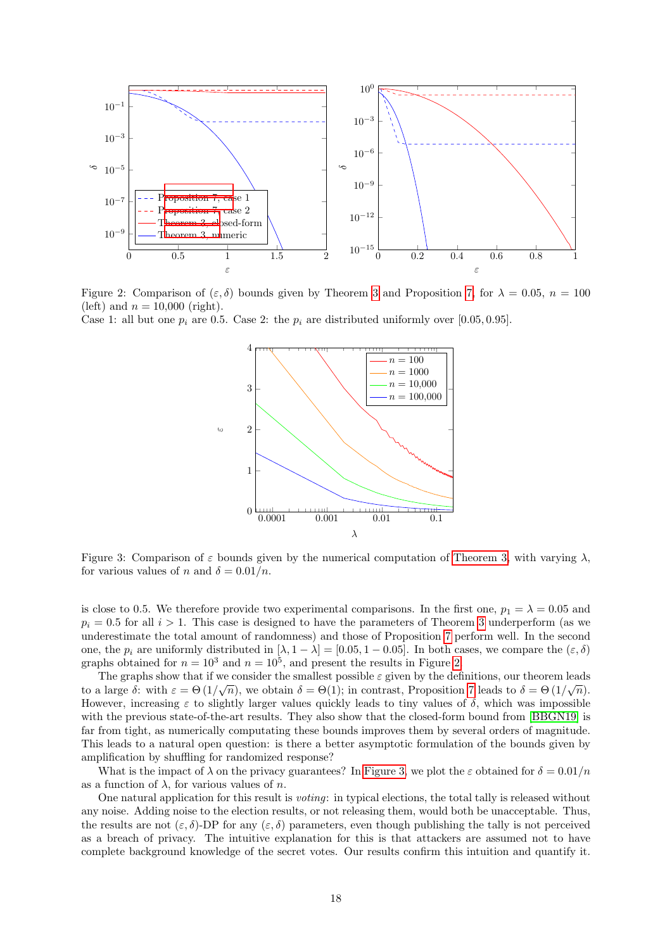<span id="page-17-0"></span>

Figure 2: Comparison of  $(\varepsilon, \delta)$  bounds given by Theorem [3](#page-15-2) and Proposition [7,](#page-16-0) for  $\lambda = 0.05$ ,  $n = 100$ (left) and  $n = 10,000$  (right).

<span id="page-17-1"></span>Case 1: all but one  $p_i$  are 0.5. Case 2: the  $p_i$  are distributed uniformly over [0.05, 0.95].



Figure 3: Comparison of  $\varepsilon$  bounds given by the numerical computation of [Theorem 3,](#page-15-2) with varying  $\lambda$ , for various values of n and  $\delta = 0.01/n$ .

is close to 0.5. We therefore provide two experimental comparisons. In the first one,  $p_1 = \lambda = 0.05$  and  $p_i = 0.5$  for all  $i > 1$ . This case is designed to have the parameters of Theorem [3](#page-15-2) underperform (as we underestimate the total amount of randomness) and those of Proposition [7](#page-16-0) perform well. In the second one, the  $p_i$  are uniformly distributed in  $[\lambda, 1 - \lambda] = [0.05, 1 - 0.05]$ . In both cases, we compare the  $(\varepsilon, \delta)$ graphs obtained for  $n = 10^3$  and  $n = 10^5$ , and present the results in Figure [2.](#page-17-0)

The graphs show that if we consider the smallest possible  $\varepsilon$  given by the definitions, our theorem leads to a large  $\delta$ : with  $\varepsilon = \Theta(1/\sqrt{n})$ , we obtain  $\delta = \Theta(1)$ ; in contrast, Proposition [7](#page-16-0) leads to  $\delta = \Theta(1/\sqrt{n})$ . However, increasing  $\varepsilon$  to slightly larger values quickly leads to tiny values of  $\delta$ , which was impossible with the previous state-of-the-art results. They also show that the closed-form bound from [\[BBGN19\]](#page-29-5) is far from tight, as numerically computating these bounds improves them by several orders of magnitude. This leads to a natural open question: is there a better asymptotic formulation of the bounds given by amplification by shuffling for randomized response?

What is the impact of  $\lambda$  on the privacy guarantees? In [Figure 3,](#page-17-1) we plot the  $\varepsilon$  obtained for  $\delta = 0.01/n$ as a function of  $\lambda$ , for various values of *n*.

One natural application for this result is voting: in typical elections, the total tally is released without any noise. Adding noise to the election results, or not releasing them, would both be unacceptable. Thus, the results are not  $(\varepsilon, \delta)$ -DP for any  $(\varepsilon, \delta)$  parameters, even though publishing the tally is not perceived as a breach of privacy. The intuitive explanation for this is that attackers are assumed not to have complete background knowledge of the secret votes. Our results confirm this intuition and quantify it.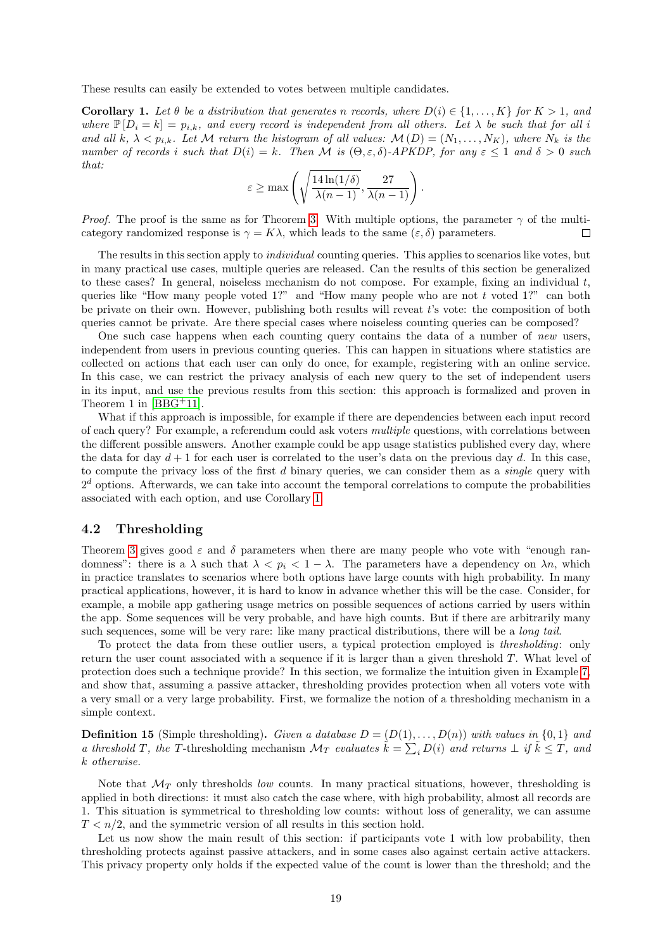These results can easily be extended to votes between multiple candidates.

<span id="page-18-1"></span>**Corollary 1.** Let  $\theta$  be a distribution that generates n records, where  $D(i) \in \{1, ..., K\}$  for  $K > 1$ , and where  $\mathbb{P}[D_i = k] = p_{i,k}$ , and every record is independent from all others. Let  $\lambda$  be such that for all i and all k,  $\lambda < p_{i,k}$ . Let M return the histogram of all values:  $\mathcal{M}(D) = (N_1, \ldots, N_K)$ , where  $N_k$  is the number of records i such that  $D(i) = k$ . Then M is  $(\Theta, \varepsilon, \delta)$ -APKDP, for any  $\varepsilon \leq 1$  and  $\delta > 0$  such that:

$$
\varepsilon \ge \max\left(\sqrt{\frac{14\ln(1/\delta)}{\lambda(n-1)}}, \frac{27}{\lambda(n-1)}\right).
$$

*Proof.* The proof is the same as for Theorem [3.](#page-15-2) With multiple options, the parameter  $\gamma$  of the multicategory randomized response is  $\gamma = K\lambda$ , which leads to the same  $(\varepsilon, \delta)$  parameters.  $\Box$ 

The results in this section apply to *individual* counting queries. This applies to scenarios like votes, but in many practical use cases, multiple queries are released. Can the results of this section be generalized to these cases? In general, noiseless mechanism do not compose. For example, fixing an individual  $t$ , queries like "How many people voted 1?" and "How many people who are not  $t$  voted 1?" can both be private on their own. However, publishing both results will reveat t's vote: the composition of both queries cannot be private. Are there special cases where noiseless counting queries can be composed?

One such case happens when each counting query contains the data of a number of new users, independent from users in previous counting queries. This can happen in situations where statistics are collected on actions that each user can only do once, for example, registering with an online service. In this case, we can restrict the privacy analysis of each new query to the set of independent users in its input, and use the previous results from this section: this approach is formalized and proven in Theorem 1 in [\[BBG](#page-29-1)+11].

What if this approach is impossible, for example if there are dependencies between each input record of each query? For example, a referendum could ask voters multiple questions, with correlations between the different possible answers. Another example could be app usage statistics published every day, where the data for day  $d+1$  for each user is correlated to the user's data on the previous day d. In this case, to compute the privacy loss of the first d binary queries, we can consider them as a single query with  $2<sup>d</sup>$  options. Afterwards, we can take into account the temporal correlations to compute the probabilities associated with each option, and use Corollary [1.](#page-18-1)

### <span id="page-18-0"></span>4.2 Thresholding

Theorem [3](#page-15-2) gives good  $\varepsilon$  and  $\delta$  parameters when there are many people who vote with "enough randomness": there is a  $\lambda$  such that  $\lambda < p_i < 1 - \lambda$ . The parameters have a dependency on  $\lambda n$ , which in practice translates to scenarios where both options have large counts with high probability. In many practical applications, however, it is hard to know in advance whether this will be the case. Consider, for example, a mobile app gathering usage metrics on possible sequences of actions carried by users within the app. Some sequences will be very probable, and have high counts. But if there are arbitrarily many such sequences, some will be very rare: like many practical distributions, there will be a *long tail.* 

To protect the data from these outlier users, a typical protection employed is thresholding: only return the user count associated with a sequence if it is larger than a given threshold T. What level of protection does such a technique provide? In this section, we formalize the intuition given in Example [7,](#page-9-3) and show that, assuming a passive attacker, thresholding provides protection when all voters vote with a very small or a very large probability. First, we formalize the notion of a thresholding mechanism in a simple context.

**Definition 15** (Simple thresholding). Given a database  $D = (D(1), \ldots, D(n))$  with values in  $\{0, 1\}$  and a threshold T, the T-thresholding mechanism  $\mathcal{M}_T$  evaluates  $\hat{k} = \sum_i D(i)$  and returns  $\perp$  if  $\tilde{k} \leq T$ , and k otherwise.

Note that  $\mathcal{M}_T$  only thresholds low counts. In many practical situations, however, thresholding is applied in both directions: it must also catch the case where, with high probability, almost all records are 1. This situation is symmetrical to thresholding low counts: without loss of generality, we can assume  $T < n/2$ , and the symmetric version of all results in this section hold.

Let us now show the main result of this section: if participants vote 1 with low probability, then thresholding protects against passive attackers, and in some cases also against certain active attackers. This privacy property only holds if the expected value of the count is lower than the threshold; and the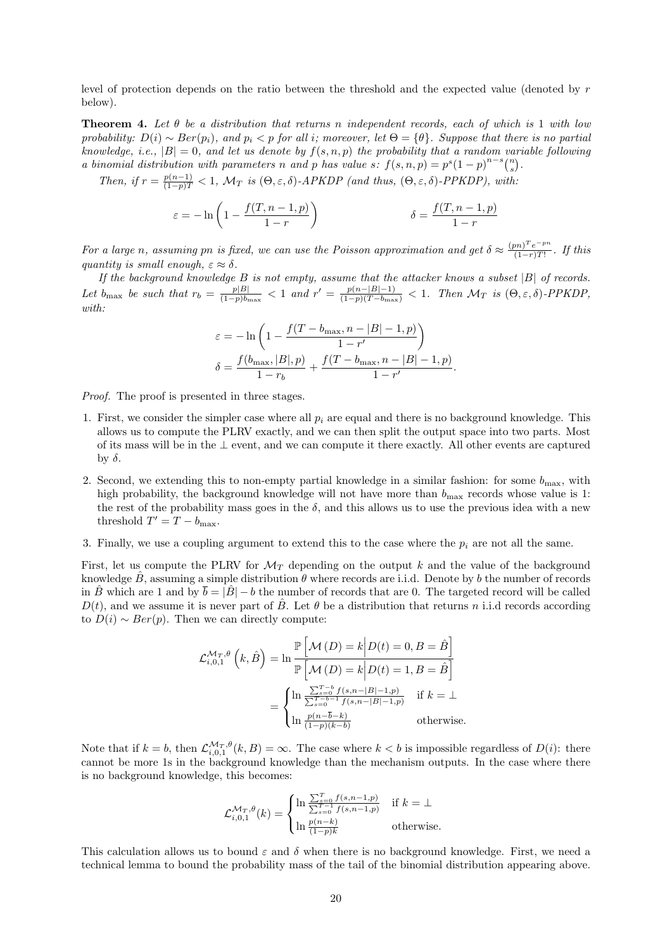level of protection depends on the ratio between the threshold and the expected value (denoted by r below).

<span id="page-19-0"></span>**Theorem 4.** Let  $\theta$  be a distribution that returns n independent records, each of which is 1 with low probability:  $D(i) \sim Ber(p_i)$ , and  $p_i < p$  for all i; moreover, let  $\Theta = \{\theta\}$ . Suppose that there is no partial knowledge, i.e.,  $|B| = 0$ , and let us denote by  $f(s, n, p)$  the probability that a random variable following a binomial distribution with parameters n and p has value s:  $f(s,n,p) = p^{s}(1-p)^{n-s}\binom{n}{s}$ .

Then, if  $r = \frac{p(n-1)}{(1-p)T} < 1$ ,  $\mathcal{M}_T$  is  $(\Theta, \varepsilon, \delta)$ -APKDP (and thus,  $(\Theta, \varepsilon, \delta)$ -PPKDP), with.

$$
\varepsilon = -\ln\left(1 - \frac{f(T, n-1, p)}{1-r}\right) \qquad \delta = \frac{f(T, n-1, p)}{1-r}
$$

For a large n, assuming pn is fixed, we can use the Poisson approximation and get  $\delta \approx \frac{(pn)^T e^{-pn}}{(1-r)^T}$  $\frac{(n-1)(n-1)}{(1-r)(1-r)}$ . If this quantity is small enough,  $\varepsilon \approx \delta$ .

If the background knowledge  $B$  is not empty, assume that the attacker knows a subset  $|B|$  of records. Let  $b_{\text{max}}$  be such that  $r_b = \frac{p|B|}{(1-p)b}$  $\frac{p|B|}{(1-p)b_{\max}}$  < 1 and  $r' = \frac{p(n-|B|-1)}{(1-p)(T-b_{\max})}$  < 1. Then  $\mathcal{M}_T$  is  $(\Theta, \varepsilon, \delta)$ -PPKDP, with:

$$
\varepsilon = -\ln\left(1 - \frac{f(T - b_{\max}, n - |B| - 1, p)}{1 - r'}\right)
$$

$$
\delta = \frac{f(b_{\max}, |B|, p)}{1 - r_b} + \frac{f(T - b_{\max}, n - |B| - 1, p)}{1 - r'}.
$$

Proof. The proof is presented in three stages.

- 1. First, we consider the simpler case where all  $p_i$  are equal and there is no background knowledge. This allows us to compute the PLRV exactly, and we can then split the output space into two parts. Most of its mass will be in the ⊥ event, and we can compute it there exactly. All other events are captured by  $\delta$ .
- 2. Second, we extending this to non-empty partial knowledge in a similar fashion: for some  $b_{\text{max}}$ , with high probability, the background knowledge will not have more than  $b_{\text{max}}$  records whose value is 1: the rest of the probability mass goes in the  $\delta$ , and this allows us to use the previous idea with a new threshold  $T' = T - b_{\text{max}}$ .
- 3. Finally, we use a coupling argument to extend this to the case where the  $p_i$  are not all the same.

First, let us compute the PLRV for  $\mathcal{M}_T$  depending on the output k and the value of the background knowledge  $\hat{B}$ , assuming a simple distribution  $\theta$  where records are i.i.d. Denote by b the number of records in B<sup> $\hat{B}$ </sup> which are 1 and by  $\bar{b} = |\hat{B}| - b$  the number of records that are 0. The targeted record will be called  $D(t)$ , and we assume it is never part of B<sup> $\dot{B}$ </sup>. Let  $\theta$  be a distribution that returns n i.i.d records according to  $D(i) \sim Ber(p)$ . Then we can directly compute:

$$
\mathcal{L}_{i,0,1}^{\mathcal{M}_T,\theta}\left(k,\hat{B}\right) = \ln \frac{\mathbb{P}\left[\mathcal{M}\left(D\right) = k \middle| D(t) = 0, B = \hat{B}\right]}{\mathbb{P}\left[\mathcal{M}\left(D\right) = k \middle| D(t) = 1, B = \hat{B}\right]}
$$
\n
$$
= \begin{cases} \ln \frac{\sum_{s=0}^{T-b} f(s,n-|B|-1,p)}{\sum_{s=0}^{T-b-1} f(s,n-|B|-1,p)} & \text{if } k = \perp\\ \ln \frac{p(n-\bar{b}-k)}{(1-p)(k-\bar{b})} & \text{otherwise.} \end{cases}
$$

Note that if  $k = b$ , then  $\mathcal{L}_{i,0,1}^{\mathcal{M}_T,\theta}(k,B) = \infty$ . The case where  $k < b$  is impossible regardless of  $D(i)$ : there cannot be more 1s in the background knowledge than the mechanism outputs. In the case where there is no background knowledge, this becomes:

$$
\mathcal{L}_{i,0,1}^{\mathcal{M}_T,\theta}(k) = \begin{cases} \ln \frac{\sum_{s=0}^T f(s,n-1,p)}{\sum_{s=0}^{T-1} f(s,n-1,p)} & \text{if } k = \bot\\ \ln \frac{p(n-k)}{(1-p)k} & \text{otherwise.} \end{cases}
$$

This calculation allows us to bound  $\varepsilon$  and  $\delta$  when there is no background knowledge. First, we need a technical lemma to bound the probability mass of the tail of the binomial distribution appearing above.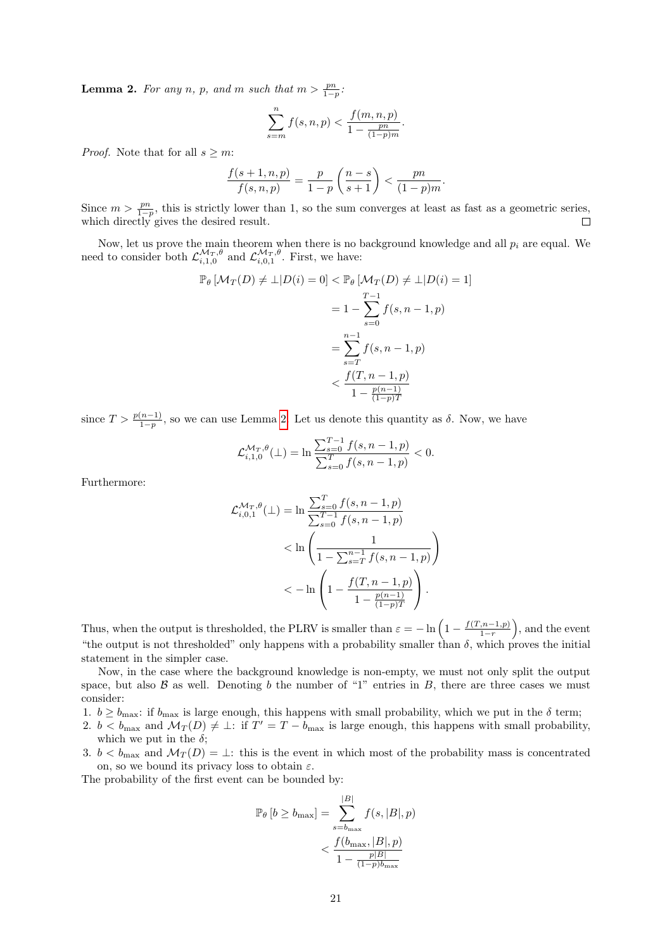<span id="page-20-0"></span>**Lemma 2.** For any n, p, and m such that  $m > \frac{pn}{1-p}$ .

$$
\sum_{s=m}^{n} f(s, n, p) < \frac{f(m, n, p)}{1 - \frac{pn}{(1 - p)m}}.
$$

*Proof.* Note that for all  $s \geq m$ :

$$
\frac{f(s+1,n,p)}{f(s,n,p)} = \frac{p}{1-p} \left(\frac{n-s}{s+1}\right) < \frac{pn}{(1-p)m}.
$$

Since  $m > \frac{pn}{1-p}$ , this is strictly lower than 1, so the sum converges at least as fast as a geometric series, which directly gives the desired result.  $\Box$ 

Now, let us prove the main theorem when there is no background knowledge and all  $p_i$  are equal. We need to consider both  $\mathcal{L}_{i,1,0}^{\mathcal{M}_T,\theta}$  and  $\mathcal{L}_{i,0,1}^{\mathcal{M}_T,\theta}$ . First, we have:

$$
\mathbb{P}_{\theta} \left[ \mathcal{M}_{T}(D) \neq \bot | D(i) = 0 \right] < \mathbb{P}_{\theta} \left[ \mathcal{M}_{T}(D) \neq \bot | D(i) = 1 \right] \\
= 1 - \sum_{s=0}^{T-1} f(s, n-1, p) \\
= \sum_{s=T}^{n-1} f(s, n-1, p) \\
\leq \frac{f(T, n-1, p)}{1 - \frac{p(n-1)}{(1-p)T}}
$$

since  $T > \frac{p(n-1)}{1-p}$ , so we can use Lemma [2.](#page-20-0) Let us denote this quantity as  $\delta$ . Now, we have

$$
\mathcal{L}_{i,1,0}^{\mathcal{M}_T,\theta}(\bot) = \ln \frac{\sum_{s=0}^{T-1} f(s, n-1, p)}{\sum_{s=0}^{T} f(s, n-1, p)} < 0.
$$

Furthermore:

$$
\mathcal{L}_{i,0,1}^{\mathcal{M}_T,\theta}(\bot) = \ln \frac{\sum_{s=0}^T f(s, n-1, p)}{\sum_{s=0}^{T-1} f(s, n-1, p)}
$$
  

$$
< \ln \left( \frac{1}{1 - \sum_{s=T}^{n-1} f(s, n-1, p)} \right)
$$
  

$$
< -\ln \left( 1 - \frac{f(T, n-1, p)}{1 - \frac{p(n-1)}{(1-p)T}} \right).
$$

Thus, when the output is thresholded, the PLRV is smaller than  $\varepsilon = -\ln\left(1 - \frac{f(T, n-1, p)}{1-r}\right)$  $\binom{(n-1,p)}{1-r}$ , and the event "the output is not thresholded" only happens with a probability smaller than  $\delta$ , which proves the initial statement in the simpler case.

Now, in the case where the background knowledge is non-empty, we must not only split the output space, but also  $\beta$  as well. Denoting b the number of "1" entries in B, there are three cases we must consider:

- 1.  $b \ge b_{\text{max}}$ : if  $b_{\text{max}}$  is large enough, this happens with small probability, which we put in the  $\delta$  term;
- 2.  $b < b_{\text{max}}$  and  $\mathcal{M}_T(D) \neq \perp$ : if  $T' = T b_{\text{max}}$  is large enough, this happens with small probability, which we put in the  $\delta$ ;
- 3.  $b < b_{\text{max}}$  and  $\mathcal{M}_T(D) = \perp$ : this is the event in which most of the probability mass is concentrated on, so we bound its privacy loss to obtain  $\varepsilon$ .

The probability of the first event can be bounded by:

$$
\mathbb{P}_{\theta}[b \ge b_{\max}] = \sum_{s=b_{\max}}^{|B|} f(s, |B|, p)
$$

$$
< \frac{f(b_{\max}, |B|, p)}{1 - \frac{p|B|}{(1 - p)b_{\max}}}
$$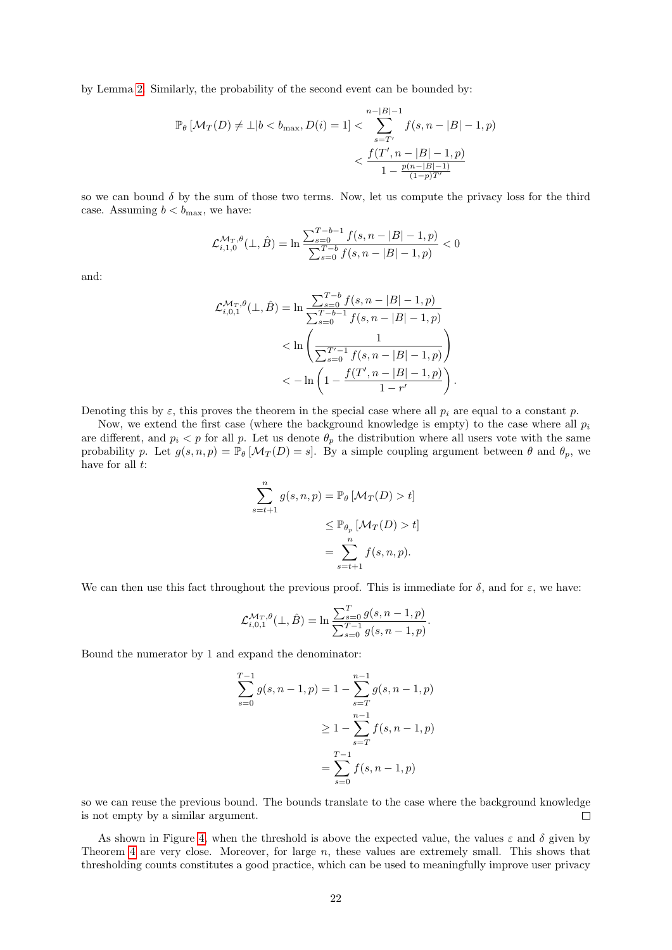by Lemma [2.](#page-20-0) Similarly, the probability of the second event can be bounded by:

$$
\mathbb{P}_{\theta} \left[ \mathcal{M}_T(D) \neq \bot | b < b_{\max}, D(i) = 1 \right] < \sum_{s = T'}^{n - |B| - 1} f(s, n - |B| - 1, p) \\
&< \frac{f(T', n - |B| - 1, p)}{1 - \frac{p(n - |B| - 1)}{(1 - p)T'}}
$$

so we can bound  $\delta$  by the sum of those two terms. Now, let us compute the privacy loss for the third case. Assuming  $b < b_{\text{max}}$ , we have:

$$
\mathcal{L}_{i,1,0}^{\mathcal{M}_T,\theta}(\bot,\hat{B}) = \ln \frac{\sum_{s=0}^{T-b-1} f(s, n-|B|-1, p)}{\sum_{s=0}^{T-b} f(s, n-|B|-1, p)} < 0
$$

and:

$$
\mathcal{L}_{i,0,1}^{\mathcal{M}_T,\theta}(\bot,\hat{B}) = \ln \frac{\sum_{s=0}^{T-b} f(s,n-|B|-1,p)}{\sum_{s=0}^{T-b-1} f(s,n-|B|-1,p)}
$$
  

$$
< \ln \left( \frac{1}{\sum_{s=0}^{T'-1} f(s,n-|B|-1,p)} \right)
$$
  

$$
< -\ln \left( 1 - \frac{f(T',n-|B|-1,p)}{1-r'} \right)
$$

.

Denoting this by  $\varepsilon$ , this proves the theorem in the special case where all  $p_i$  are equal to a constant p.

Now, we extend the first case (where the background knowledge is empty) to the case where all  $p_i$ are different, and  $p_i < p$  for all p. Let us denote  $\theta_p$  the distribution where all users vote with the same probability p. Let  $g(s, n, p) = \mathbb{P}_{\theta} [\mathcal{M}_T(D) = s]$ . By a simple coupling argument between  $\theta$  and  $\theta_p$ , we have for all  $t$ :

$$
\sum_{s=t+1}^{n} g(s, n, p) = \mathbb{P}_{\theta} \left[ \mathcal{M}_T(D) > t \right]
$$
  

$$
\leq \mathbb{P}_{\theta_p} \left[ \mathcal{M}_T(D) > t \right]
$$
  

$$
= \sum_{s=t+1}^{n} f(s, n, p).
$$

We can then use this fact throughout the previous proof. This is immediate for  $\delta$ , and for  $\varepsilon$ , we have:

$$
\mathcal{L}_{i,0,1}^{\mathcal{M}_T,\theta}(\bot,\hat{B}) = \ln \frac{\sum_{s=0}^T g(s,n-1,p)}{\sum_{s=0}^{T-1} g(s,n-1,p)}.
$$

Bound the numerator by 1 and expand the denominator:

$$
\sum_{s=0}^{T-1} g(s, n-1, p) = 1 - \sum_{s=T}^{n-1} g(s, n-1, p)
$$

$$
\geq 1 - \sum_{s=T}^{n-1} f(s, n-1, p)
$$

$$
= \sum_{s=0}^{T-1} f(s, n-1, p)
$$

so we can reuse the previous bound. The bounds translate to the case where the background knowledge is not empty by a similar argument. П

As shown in Figure [4,](#page-22-1) when the threshold is above the expected value, the values  $\varepsilon$  and  $\delta$  given by Theorem [4](#page-19-0) are very close. Moreover, for large n, these values are extremely small. This shows that thresholding counts constitutes a good practice, which can be used to meaningfully improve user privacy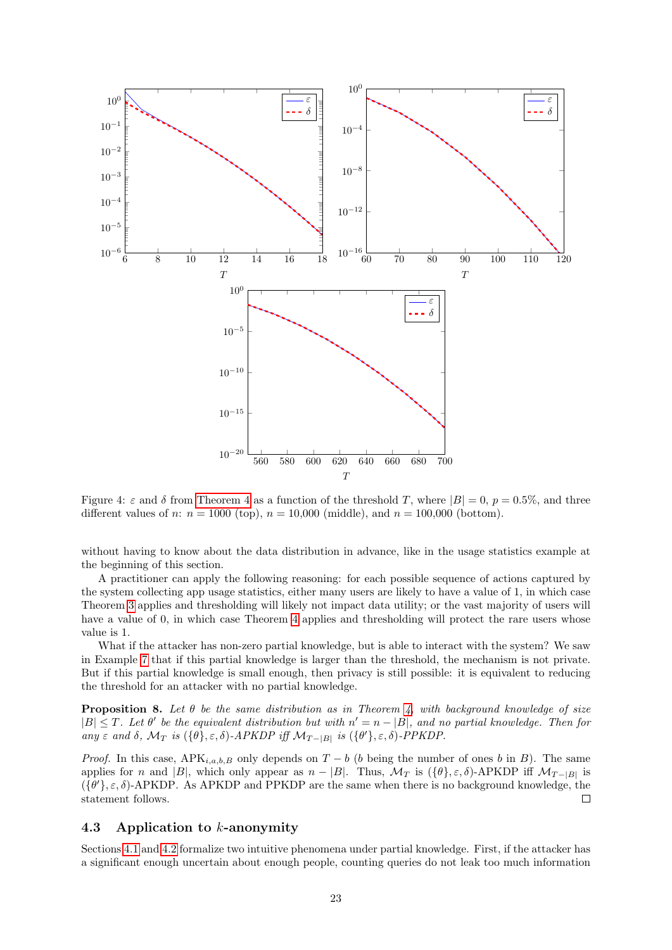<span id="page-22-1"></span>

Figure 4:  $\varepsilon$  and  $\delta$  from [Theorem 4](#page-19-0) as a function of the threshold T, where  $|B| = 0$ ,  $p = 0.5\%$ , and three different values of n:  $n = 1000$  (top),  $n = 10,000$  (middle), and  $n = 100,000$  (bottom).

without having to know about the data distribution in advance, like in the usage statistics example at the beginning of this section.

A practitioner can apply the following reasoning: for each possible sequence of actions captured by the system collecting app usage statistics, either many users are likely to have a value of 1, in which case Theorem [3](#page-15-2) applies and thresholding will likely not impact data utility; or the vast majority of users will have a value of 0, in which case Theorem [4](#page-19-0) applies and thresholding will protect the rare users whose value is 1.

What if the attacker has non-zero partial knowledge, but is able to interact with the system? We saw in Example [7](#page-9-3) that if this partial knowledge is larger than the threshold, the mechanism is not private. But if this partial knowledge is small enough, then privacy is still possible: it is equivalent to reducing the threshold for an attacker with no partial knowledge.

<span id="page-22-2"></span>**Proposition 8.** Let  $\theta$  be the same distribution as in Theorem [4,](#page-19-0) with background knowledge of size  $|B| \leq T$ . Let  $\theta'$  be the equivalent distribution but with  $n' = n - |B|$ , and no partial knowledge. Then for any  $\varepsilon$  and  $\delta$ ,  $\mathcal{M}_T$  is  $(\{\theta\}, \varepsilon, \delta)$ -APKDP iff  $\mathcal{M}_{T-|B|}$  is  $(\{\theta'\}, \varepsilon, \delta)$ -PPKDP.

*Proof.* In this case,  $APK_{i,a,b,B}$  only depends on  $T - b$  (b being the number of ones b in B). The same applies for n and |B|, which only appear as  $n - |B|$ . Thus,  $\mathcal{M}_T$  is  $({\theta}, {\varepsilon}, {\delta})$ -APKDP iff  $\mathcal{M}_{T-|B|}$  is  $({\theta}', \varepsilon, \delta)$ -APKDP. As APKDP and PPKDP are the same when there is no background knowledge, the statement follows.  $\Box$ 

## <span id="page-22-0"></span>4.3 Application to k-anonymity

Sections [4.1](#page-15-1) and [4.2](#page-18-0) formalize two intuitive phenomena under partial knowledge. First, if the attacker has a significant enough uncertain about enough people, counting queries do not leak too much information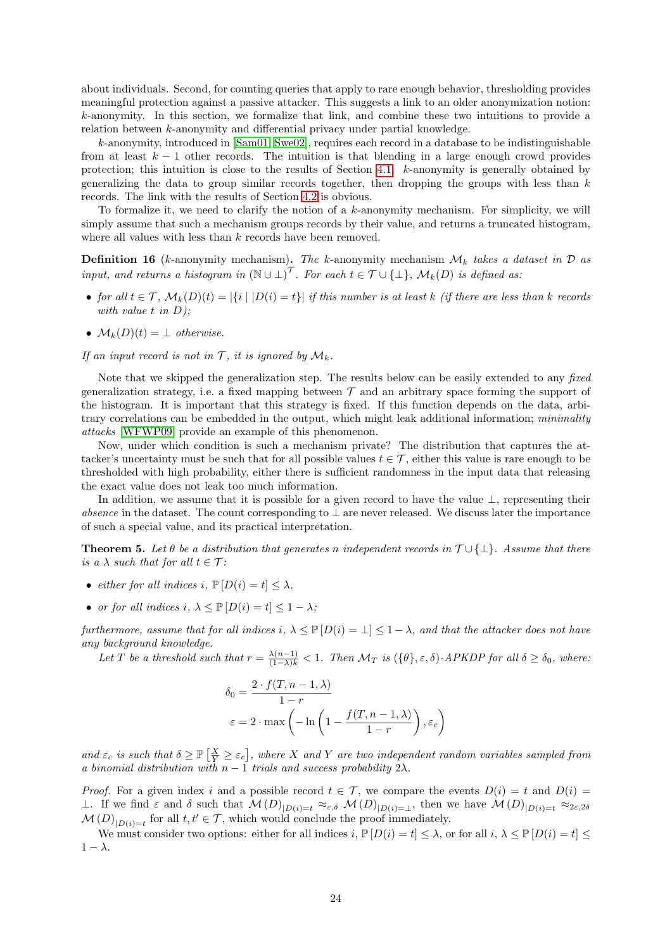about individuals. Second, for counting queries that apply to rare enough behavior, thresholding provides meaningful protection against a passive attacker. This suggests a link to an older anonymization notion: k-anonymity. In this section, we formalize that link, and combine these two intuitions to provide a relation between k-anonymity and differential privacy under partial knowledge.

k-anonymity, introduced in [\[Sam01,](#page-30-10) [Swe02\]](#page-30-11), requires each record in a database to be indistinguishable from at least  $k - 1$  other records. The intuition is that blending in a large enough crowd provides protection; this intuition is close to the results of Section [4.1.](#page-15-1) k-anonymity is generally obtained by generalizing the data to group similar records together, then dropping the groups with less than  $k$ records. The link with the results of Section [4.2](#page-18-0) is obvious.

To formalize it, we need to clarify the notion of a  $k$ -anonymity mechanism. For simplicity, we will simply assume that such a mechanism groups records by their value, and returns a truncated histogram, where all values with less than  $k$  records have been removed.

**Definition 16** (k-anonymity mechanism). The k-anonymity mechanism  $\mathcal{M}_k$  takes a dataset in  $\mathcal{D}$  as input, and returns a histogram in  $(\mathbb{N} \cup \bot)^\mathcal{T}$ . For each  $t \in \mathcal{T} \cup \{\bot\}$ ,  $\mathcal{M}_k(D)$  is defined as:

- for all  $t \in \mathcal{T}$ ,  $\mathcal{M}_k(D)(t) = |\{i \mid |D(i) = t\}|$  if this number is at least k (if there are less than k records with value  $t$  in  $D$ );
- $\mathcal{M}_k(D)(t) = \perp$  otherwise.

If an input record is not in  $\mathcal{T}$ , it is ignored by  $\mathcal{M}_k$ .

Note that we skipped the generalization step. The results below can be easily extended to any fixed generalization strategy, i.e. a fixed mapping between  $\mathcal T$  and an arbitrary space forming the support of the histogram. It is important that this strategy is fixed. If this function depends on the data, arbitrary correlations can be embedded in the output, which might leak additional information; minimality attacks [\[WFWP09\]](#page-31-2) provide an example of this phenomenon.

Now, under which condition is such a mechanism private? The distribution that captures the attacker's uncertainty must be such that for all possible values  $t \in \mathcal{T}$ , either this value is rare enough to be thresholded with high probability, either there is sufficient randomness in the input data that releasing the exact value does not leak too much information.

In addition, we assume that it is possible for a given record to have the value ⊥, representing their absence in the dataset. The count corresponding to  $\perp$  are never released. We discuss later the importance of such a special value, and its practical interpretation.

<span id="page-23-0"></span>**Theorem 5.** Let  $\theta$  be a distribution that generates n independent records in  $\mathcal{T} \cup \{\perp\}$ . Assume that there is a  $\lambda$  such that for all  $t \in \mathcal{T}$ :

- either for all indices i,  $\mathbb{P}[D(i) = t] \leq \lambda$ ,
- or for all indices i,  $\lambda \leq \mathbb{P}[D(i) = t] \leq 1 \lambda$ ;

furthermore, assume that for all indices i,  $\lambda \leq \mathbb{P}[D(i) = \bot] \leq 1 - \lambda$ , and that the attacker does not have any background knowledge.

Let T be a threshold such that  $r = \frac{\lambda(n-1)}{(1-\lambda)k} < 1$ . Then  $\mathcal{M}_T$  is  $(\{\theta\}, \varepsilon, \delta)$ -APKDP for all  $\delta \geq \delta_0$ , where:

$$
\delta_0 = \frac{2 \cdot f(T, n-1, \lambda)}{1-r}
$$

$$
\varepsilon = 2 \cdot \max \left( -\ln \left( 1 - \frac{f(T, n-1, \lambda)}{1-r} \right), \varepsilon_c \right)
$$

and  $\varepsilon_c$  is such that  $\delta \ge \mathbb{P}\left[\frac{X}{Y} \ge \varepsilon_c\right]$ , where X and Y are two independent random variables sampled from a binomial distribution with  $n-1$  trials and success probability  $2\lambda$ .

*Proof.* For a given index i and a possible record  $t \in \mathcal{T}$ , we compare the events  $D(i) = t$  and  $D(i) =$  $\perp$ . If we find ε and δ such that  $\mathcal{M}(D)_{|D(i)=t} \approx_{\varepsilon,\delta} \mathcal{M}(D)_{|D(i)=\perp}$ , then we have  $\mathcal{M}(D)_{|D(i)=t} \approx_{2\varepsilon,2\delta}$  $\mathcal{M}(D)_{|D(i)=t}$  for all  $t, t' \in \mathcal{T}$ , which would conclude the proof immediately.

We must consider two options: either for all indices  $i, \mathbb{P}[D(i) = t] \leq \lambda$ , or for all  $i, \lambda \leq \mathbb{P}[D(i) = t] \leq \lambda$  $1 - \lambda$ .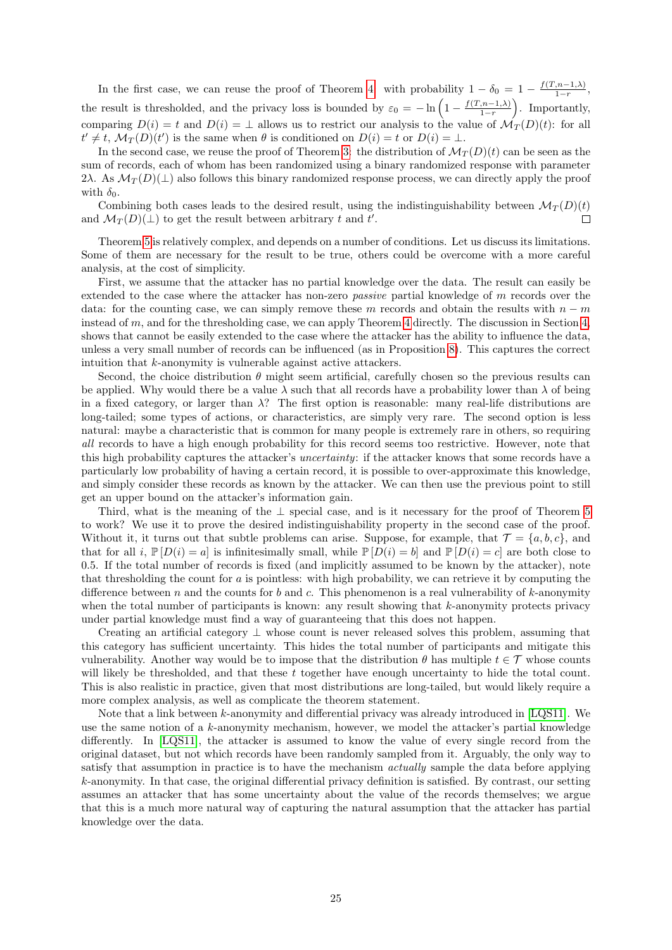In the first case, we can reuse the proof of Theorem [4:](#page-19-0) with probability  $1 - \delta_0 = 1 - \frac{f(T, n-1,\lambda)}{1-r}$  $\frac{(n-1,\lambda)}{1-r}$ , the result is thresholded, and the privacy loss is bounded by  $\varepsilon_0 = -\ln\left(1 - \frac{f(T, n-1,\lambda)}{1-r}\right)$  $\binom{(n-1,\lambda)}{1-r}$ . Importantly, comparing  $D(i) = t$  and  $D(i) = \perp$  allows us to restrict our analysis to the value of  $\mathcal{M}_T(D)(t)$ : for all  $t' \neq t$ ,  $\mathcal{M}_T(D)(t')$  is the same when  $\theta$  is conditioned on  $D(i) = t$  or  $D(i) = \bot$ .

In the second case, we reuse the proof of Theorem [3:](#page-15-2) the distribution of  $\mathcal{M}_T(D)(t)$  can be seen as the sum of records, each of whom has been randomized using a binary randomized response with parameter 2λ. As  $\mathcal{M}_T(D)(\perp)$  also follows this binary randomized response process, we can directly apply the proof with  $\delta_0$ .

Combining both cases leads to the desired result, using the indistinguishability between  $\mathcal{M}_T(D)(t)$ and  $\mathcal{M}_T(D)(\perp)$  to get the result between arbitrary t and t'.  $\Box$ 

Theorem [5](#page-23-0) is relatively complex, and depends on a number of conditions. Let us discuss its limitations. Some of them are necessary for the result to be true, others could be overcome with a more careful analysis, at the cost of simplicity.

First, we assume that the attacker has no partial knowledge over the data. The result can easily be extended to the case where the attacker has non-zero *passive* partial knowledge of m records over the data: for the counting case, we can simply remove these m records and obtain the results with  $n - m$ instead of m, and for the thresholding case, we can apply Theorem [4](#page-19-0) directly. The discussion in Section [4,](#page-19-0) shows that cannot be easily extended to the case where the attacker has the ability to influence the data, unless a very small number of records can be influenced (as in Proposition [8\)](#page-22-2). This captures the correct intuition that k-anonymity is vulnerable against active attackers.

Second, the choice distribution  $\theta$  might seem artificial, carefully chosen so the previous results can be applied. Why would there be a value  $\lambda$  such that all records have a probability lower than  $\lambda$  of being in a fixed category, or larger than  $\lambda$ ? The first option is reasonable: many real-life distributions are long-tailed; some types of actions, or characteristics, are simply very rare. The second option is less natural: maybe a characteristic that is common for many people is extremely rare in others, so requiring all records to have a high enough probability for this record seems too restrictive. However, note that this high probability captures the attacker's uncertainty: if the attacker knows that some records have a particularly low probability of having a certain record, it is possible to over-approximate this knowledge, and simply consider these records as known by the attacker. We can then use the previous point to still get an upper bound on the attacker's information gain.

Third, what is the meaning of the ⊥ special case, and is it necessary for the proof of Theorem [5](#page-23-0) to work? We use it to prove the desired indistinguishability property in the second case of the proof. Without it, it turns out that subtle problems can arise. Suppose, for example, that  $\mathcal{T} = \{a, b, c\}$ , and that for all i,  $\mathbb{P}[D(i) = a]$  is infinitesimally small, while  $\mathbb{P}[D(i) = b]$  and  $\mathbb{P}[D(i) = c]$  are both close to 0.5. If the total number of records is fixed (and implicitly assumed to be known by the attacker), note that thresholding the count for a is pointless: with high probability, we can retrieve it by computing the difference between n and the counts for b and c. This phenomenon is a real vulnerability of k-anonymity when the total number of participants is known: any result showing that  $k$ -anonymity protects privacy under partial knowledge must find a way of guaranteeing that this does not happen.

Creating an artificial category  $\perp$  whose count is never released solves this problem, assuming that this category has sufficient uncertainty. This hides the total number of participants and mitigate this vulnerability. Another way would be to impose that the distribution  $\theta$  has multiple  $t \in \mathcal{T}$  whose counts will likely be thresholded, and that these t together have enough uncertainty to hide the total count. This is also realistic in practice, given that most distributions are long-tailed, but would likely require a more complex analysis, as well as complicate the theorem statement.

Note that a link between  $k$ -anonymity and differential privacy was already introduced in [\[LQS11\]](#page-30-12). We use the same notion of a k-anonymity mechanism, however, we model the attacker's partial knowledge differently. In [\[LQS11\]](#page-30-12), the attacker is assumed to know the value of every single record from the original dataset, but not which records have been randomly sampled from it. Arguably, the only way to satisfy that assumption in practice is to have the mechanism *actually* sample the data before applying k-anonymity. In that case, the original differential privacy definition is satisfied. By contrast, our setting assumes an attacker that has some uncertainty about the value of the records themselves; we argue that this is a much more natural way of capturing the natural assumption that the attacker has partial knowledge over the data.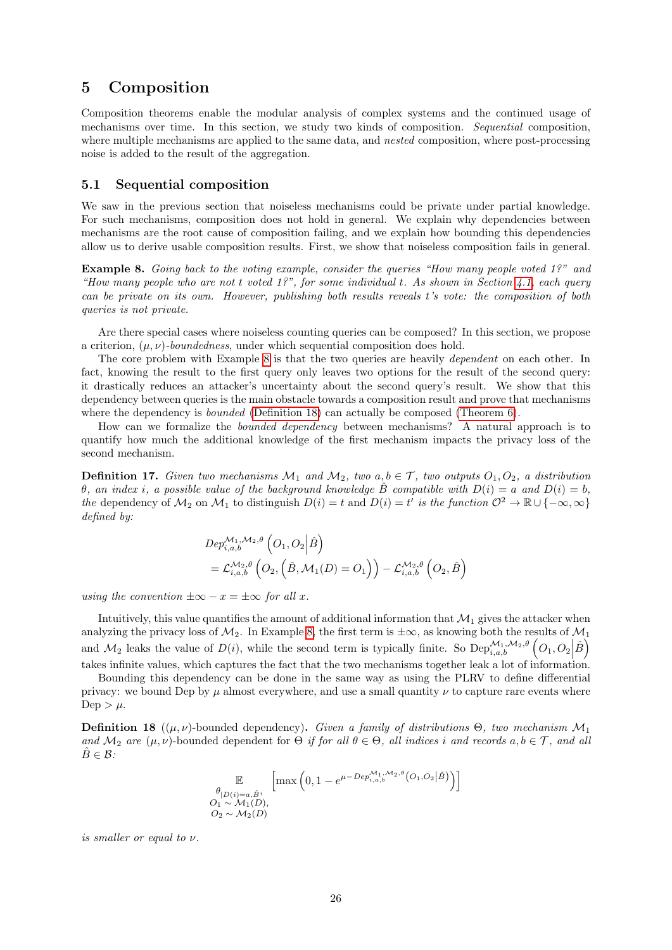## <span id="page-25-0"></span>5 Composition

Composition theorems enable the modular analysis of complex systems and the continued usage of mechanisms over time. In this section, we study two kinds of composition. Sequential composition, where multiple mechanisms are applied to the same data, and *nested* composition, where post-processing noise is added to the result of the aggregation.

## <span id="page-25-1"></span>5.1 Sequential composition

We saw in the previous section that noiseless mechanisms could be private under partial knowledge. For such mechanisms, composition does not hold in general. We explain why dependencies between mechanisms are the root cause of composition failing, and we explain how bounding this dependencies allow us to derive usable composition results. First, we show that noiseless composition fails in general.

<span id="page-25-2"></span>Example 8. Going back to the voting example, consider the gueries "How many people voted 1?" and "How many people who are not t voted  $1$ ?", for some individual t. As shown in Section  $4.1$ , each query can be private on its own. However, publishing both results reveals t's vote: the composition of both queries is not private.

Are there special cases where noiseless counting queries can be composed? In this section, we propose a criterion,  $(\mu, \nu)$ -boundedness, under which sequential composition does hold.

The core problem with Example [8](#page-25-2) is that the two queries are heavily *dependent* on each other. In fact, knowing the result to the first query only leaves two options for the result of the second query: it drastically reduces an attacker's uncertainty about the second query's result. We show that this dependency between queries is the main obstacle towards a composition result and prove that mechanisms where the dependency is *bounded* [\(Definition 18\)](#page-25-3) can actually be composed [\(Theorem 6\)](#page-26-0).

How can we formalize the bounded dependency between mechanisms? A natural approach is to quantify how much the additional knowledge of the first mechanism impacts the privacy loss of the second mechanism.

**Definition 17.** Given two mechanisms  $\mathcal{M}_1$  and  $\mathcal{M}_2$ , two  $a, b \in \mathcal{T}$ , two outputs  $O_1, O_2$ , a distribution θ, an index i, a possible value of the background knowledge B compatible with  $D(i) = a$  and  $D(i) = b$ , the dependency of  $\mathcal{M}_2$  on  $\mathcal{M}_1$  to distinguish  $D(i) = t$  and  $D(i) = t^i$  is the function  $\mathcal{O}^2 \to \mathbb{R} \cup \{-\infty, \infty\}$ defined by:

$$
Dep_{i,a,b}^{\mathcal{M}_1, \mathcal{M}_2, \theta} (O_1, O_2 | \hat{B})
$$
  
=  $\mathcal{L}_{i,a,b}^{\mathcal{M}_2, \theta} (O_2, (\hat{B}, \mathcal{M}_1(D) = O_1)) - \mathcal{L}_{i,a,b}^{\mathcal{M}_2, \theta} (O_2, \hat{B})$ 

using the convention  $\pm \infty - x = \pm \infty$  for all x.

Intuitively, this value quantifies the amount of additional information that  $\mathcal{M}_1$  gives the attacker when analyzing the privacy loss of  $\mathcal{M}_2$ . In Example [8,](#page-25-2) the first term is  $\pm\infty$ , as knowing both the results of  $\mathcal{M}_1$ and  $\mathcal{M}_2$  leaks the value of  $D(i)$ , while the second term is typically finite. So  $\text{Dep}_{i,a,b}^{\mathcal{M}_1,\mathcal{M}_2,\theta}(\mathcal{O}_1,\mathcal{O}_2|\hat{B})$ takes infinite values, which captures the fact that the two mechanisms together leak a lot of information.

Bounding this dependency can be done in the same way as using the PLRV to define differential privacy: we bound Dep by  $\mu$  almost everywhere, and use a small quantity  $\nu$  to capture rare events where Dep  $>\mu$ .

<span id="page-25-3"></span>**Definition 18** (( $\mu, \nu$ )-bounded dependency). Given a family of distributions  $\Theta$ , two mechanism  $\mathcal{M}_1$ and  $\mathcal{M}_2$  are  $(\mu, \nu)$ -bounded dependent for  $\Theta$  if for all  $\theta \in \Theta$ , all indices i and records  $a, b \in \mathcal{T}$ , and all  $\hat{B} \in \mathcal{B}$ :

$$
\mathbb{E}_{\substack{\theta_{|D(i)=a,\hat{B}},\\O_1 \sim \mathcal{M}_1(D),\\O_2 \sim \mathcal{M}_2(D)}} \left[ \max\left(0, 1 - e^{\mu - Dep_{i,a,b}^{\mathcal{M}_1, \mathcal{M}_2, \theta}(O_1, O_2 | \hat{B})}\right)\right]
$$

is smaller or equal to  $\nu$ .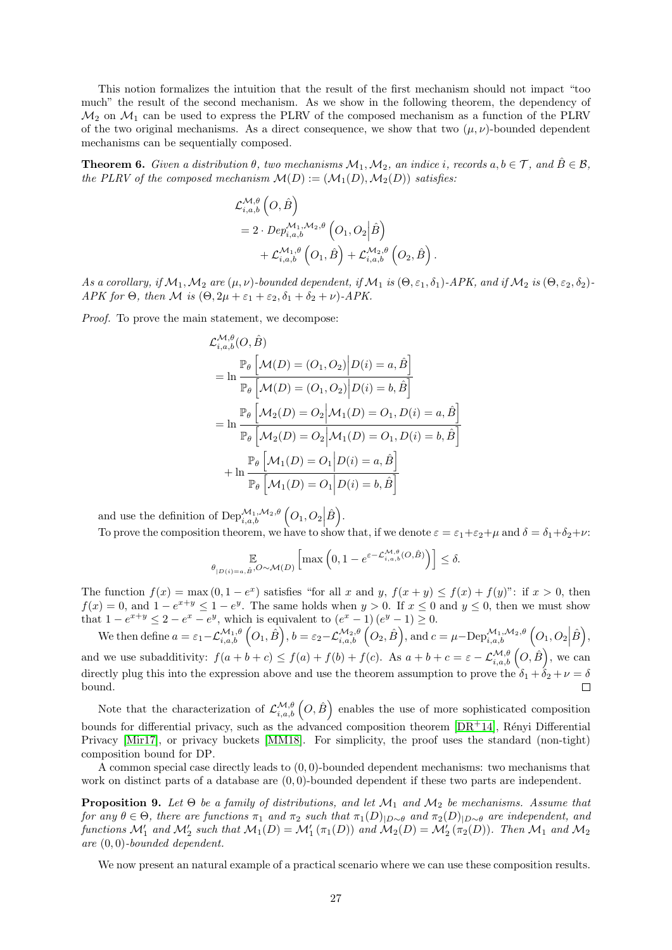This notion formalizes the intuition that the result of the first mechanism should not impact "too much" the result of the second mechanism. As we show in the following theorem, the dependency of  $\mathcal{M}_2$  on  $\mathcal{M}_1$  can be used to express the PLRV of the composed mechanism as a function of the PLRV of the two original mechanisms. As a direct consequence, we show that two  $(\mu, \nu)$ -bounded dependent mechanisms can be sequentially composed.

<span id="page-26-0"></span>**Theorem 6.** Given a distribution  $\theta$ , two mechanisms  $\mathcal{M}_1, \mathcal{M}_2$ , an indice i, records  $a, b \in \mathcal{T}$ , and  $\hat{B} \in \mathcal{B}$ , the PLRV of the composed mechanism  $\mathcal{M}(D) := (\mathcal{M}_1(D), \mathcal{M}_2(D))$  satisfies:

$$
\mathcal{L}_{i,a,b}^{\mathcal{M},\theta}\left(O,\hat{B}\right) \n=2\cdot Dep_{i,a,b}^{\mathcal{M}_1,\mathcal{M}_2,\theta}\left(O_1,O_2|\hat{B}\right) \n+ \mathcal{L}_{i,a,b}^{\mathcal{M}_1,\theta}\left(O_1,\hat{B}\right) + \mathcal{L}_{i,a,b}^{\mathcal{M}_2,\theta}\left(O_2,\hat{B}\right).
$$

As a corollary, if  $\mathcal{M}_1,\mathcal{M}_2$  are  $(\mu,\nu)$ -bounded dependent, if  $\mathcal{M}_1$  is  $(\Theta,\varepsilon_1,\delta_1)$ -APK, and if  $\mathcal{M}_2$  is  $(\Theta,\varepsilon_2,\delta_2)$ -APK for  $\Theta$ , then M is  $(\Theta, 2\mu + \varepsilon_1 + \varepsilon_2, \delta_1 + \delta_2 + \nu)$ -APK.

Proof. To prove the main statement, we decompose:

$$
\mathcal{L}_{i,a,b}^{\mathcal{M},\theta}(O, \hat{B})
$$
\n
$$
= \ln \frac{\mathbb{P}_{\theta}\left[\mathcal{M}(D) = (O_1, O_2) \middle| D(i) = a, \hat{B} \right]}{\mathbb{P}_{\theta}\left[\mathcal{M}(D) = (O_1, O_2) \middle| D(i) = b, \hat{B} \right]}
$$
\n
$$
= \ln \frac{\mathbb{P}_{\theta}\left[\mathcal{M}_2(D) = O_2 \middle| \mathcal{M}_1(D) = O_1, D(i) = a, \hat{B} \right]}{\mathbb{P}_{\theta}\left[\mathcal{M}_2(D) = O_2 \middle| \mathcal{M}_1(D) = O_1, D(i) = b, \hat{B} \right]}
$$
\n
$$
+ \ln \frac{\mathbb{P}_{\theta}\left[\mathcal{M}_1(D) = O_1 \middle| D(i) = a, \hat{B} \right]}{\mathbb{P}_{\theta}\left[\mathcal{M}_1(D) = O_1 \middle| D(i) = b, \hat{B} \right]}
$$

and use the definition of  $\text{Dep}_{i,a,b}^{\mathcal{M}_1,\mathcal{M}_2,\theta}\left(O_1,O_2\Big|\hat{B}\right).$ 

To prove the composition theorem, we have to show that, if we denote  $\varepsilon = \varepsilon_1 + \varepsilon_2 + \mu$  and  $\delta = \delta_1 + \delta_2 + \nu$ :

$$
\mathbb{E}_{\theta_{|D(i)=a,\hat{B}},O\sim\mathcal{M}(D)}\left[\max\left(0,1-e^{\varepsilon-\mathcal{L}_{i,a,b}^{\mathcal{M},\theta}(O,\hat{B})}\right)\right]\leq\delta.
$$

The function  $f(x) = \max(0, 1 - e^x)$  satisfies "for all x and y,  $f(x + y) \le f(x) + f(y)$ ": if  $x > 0$ , then  $f(x) = 0$ , and  $1 - e^{x+y} \le 1 - e^y$ . The same holds when  $y > 0$ . If  $x \le 0$  and  $y \le 0$ , then we must show that  $1 - e^{x+y} \leq 2 - e^x - e^y$ , which is equivalent to  $(e^x - 1)(e^y - 1) \geq 0$ .

We then define  $a = \varepsilon_1 - \mathcal{L}_{i,a,b}^{\mathcal{M}_1,\theta} \left( O_1, \hat{B} \right)$ ,  $b = \varepsilon_2 - \mathcal{L}_{i,a,b}^{\mathcal{M}_2,\theta} \left( O_2, \hat{B} \right)$ , and  $c = \mu - \text{Dep}_{i,a,b}^{\mathcal{M}_1,\mathcal{M}_2,\theta} \left( O_1, O_2 \Big| \hat{B} \right)$ , and we use subadditivity:  $f(a+b+c) \leq f(a) + f(b) + f(c)$ . As  $a+b+c = \varepsilon - \mathcal{L}^{\mathcal{M},\theta}_{i,a,b}(O,\hat{B})$ , we can directly plug this into the expression above and use the theorem assumption to prove the  $\delta_1 + \delta_2 + \nu = \delta$ bound.  $\Box$ 

Note that the characterization of  $\mathcal{L}_{i,a,b}^{\mathcal{M},\theta}(O,\hat{B})$  enables the use of more sophisticated composition bounds for differential privacy, such as the advanced composition theorem  $[DR+14]$  $[DR+14]$ , Rényi Differential Privacy [\[Mir17\]](#page-30-14), or privacy buckets [\[MM18\]](#page-30-6). For simplicity, the proof uses the standard (non-tight) composition bound for DP.

A common special case directly leads to  $(0, 0)$ -bounded dependent mechanisms: two mechanisms that work on distinct parts of a database are  $(0, 0)$ -bounded dependent if these two parts are independent.

**Proposition 9.** Let  $\Theta$  be a family of distributions, and let  $\mathcal{M}_1$  and  $\mathcal{M}_2$  be mechanisms. Assume that for any  $\theta \in \Theta$ , there are functions  $\pi_1$  and  $\pi_2$  such that  $\pi_1(D)_{|D \sim \theta}$  and  $\pi_2(D)_{|D \sim \theta}$  are independent, and functions  $\mathcal{M}'_1$  and  $\mathcal{M}'_2$  such that  $\mathcal{M}_1(D) = \mathcal{M}'_1(\pi_1(D))$  and  $\mathcal{M}_2(D) = \mathcal{M}'_2(\pi_2(D))$ . Then  $\mathcal{M}_1$  and  $\mathcal{M}_2$ are (0, 0)-bounded dependent.

We now present an natural example of a practical scenario where we can use these composition results.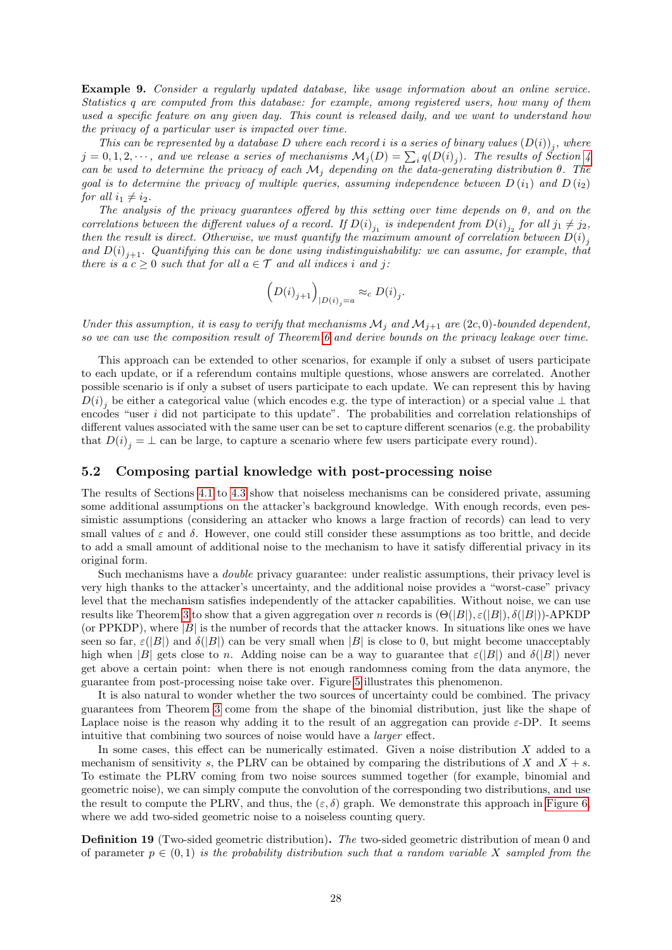Example 9. Consider a regularly updated database, like usage information about an online service. Statistics q are computed from this database: for example, among registered users, how many of them used a specific feature on any given day. This count is released daily, and we want to understand how the privacy of a particular user is impacted over time.

This can be represented by a database D where each record i is a series of binary values  $(D(i))_j$ , where  $j=0,1,2,\cdots,$  and we release a series of mechanisms  $\mathcal{M}_j(D)=\sum_i q(D(i)_j).$  The results of Section [4](#page-15-0) can be used to determine the privacy of each  $\mathcal{M}_i$  depending on the data-generating distribution  $\theta$ . The goal is to determine the privacy of multiple queries, assuming independence between  $D(i_1)$  and  $D(i_2)$ for all  $i_1 \neq i_2$ .

The analysis of the privacy guarantees offered by this setting over time depends on  $\theta$ , and on the correlations between the different values of a record. If  $D(i)_{j_1}$  is independent from  $D(i)_{j_2}$  for all  $j_1 \neq j_2$ , then the result is direct. Otherwise, we must quantify the maximum amount of correlation between  $D(i)_{j}$ and  $D(i)_{j+1}$ . Quantifying this can be done using indistinguishability: we can assume, for example, that there is a  $c \geq 0$  such that for all  $a \in \mathcal{T}$  and all indices i and j:

$$
\left(D(i)_{j+1}\right)_{|D(i)_{j}=a} \approx_c D(i)_j.
$$

Under this assumption, it is easy to verify that mechanisms  $\mathcal{M}_j$  and  $\mathcal{M}_{j+1}$  are  $(2c, 0)$ -bounded dependent, so we can use the composition result of Theorem [6](#page-26-0) and derive bounds on the privacy leakage over time.

This approach can be extended to other scenarios, for example if only a subset of users participate to each update, or if a referendum contains multiple questions, whose answers are correlated. Another possible scenario is if only a subset of users participate to each update. We can represent this by having  $D(i)_j$  be either a categorical value (which encodes e.g. the type of interaction) or a special value  $\perp$  that encodes "user i did not participate to this update". The probabilities and correlation relationships of different values associated with the same user can be set to capture different scenarios (e.g. the probability that  $D(i)_{j} = \perp$  can be large, to capture a scenario where few users participate every round).

### <span id="page-27-0"></span>5.2 Composing partial knowledge with post-processing noise

The results of Sections [4.1](#page-15-1) to [4.3](#page-22-0) show that noiseless mechanisms can be considered private, assuming some additional assumptions on the attacker's background knowledge. With enough records, even pessimistic assumptions (considering an attacker who knows a large fraction of records) can lead to very small values of  $\varepsilon$  and  $\delta$ . However, one could still consider these assumptions as too brittle, and decide to add a small amount of additional noise to the mechanism to have it satisfy differential privacy in its original form.

Such mechanisms have a double privacy guarantee: under realistic assumptions, their privacy level is very high thanks to the attacker's uncertainty, and the additional noise provides a "worst-case" privacy level that the mechanism satisfies independently of the attacker capabilities. Without noise, we can use results like Theorem [3](#page-15-2) to show that a given aggregation over n records is  $(\Theta(|B|), \varepsilon(|B|), \delta(|B|))$ -APKDP (or PPKDP), where  $|B|$  is the number of records that the attacker knows. In situations like ones we have seen so far,  $\varepsilon(|B|)$  and  $\delta(|B|)$  can be very small when  $|B|$  is close to 0, but might become unacceptably high when |B| gets close to n. Adding noise can be a way to guarantee that  $\varepsilon(|B|)$  and  $\delta(|B|)$  never get above a certain point: when there is not enough randomness coming from the data anymore, the guarantee from post-processing noise take over. Figure [5](#page-28-0) illustrates this phenomenon.

It is also natural to wonder whether the two sources of uncertainty could be combined. The privacy guarantees from Theorem [3](#page-15-2) come from the shape of the binomial distribution, just like the shape of Laplace noise is the reason why adding it to the result of an aggregation can provide  $\varepsilon$ -DP. It seems intuitive that combining two sources of noise would have a larger effect.

In some cases, this effect can be numerically estimated. Given a noise distribution X added to a mechanism of sensitivity s, the PLRV can be obtained by comparing the distributions of X and  $X + s$ . To estimate the PLRV coming from two noise sources summed together (for example, binomial and geometric noise), we can simply compute the convolution of the corresponding two distributions, and use the result to compute the PLRV, and thus, the  $(\varepsilon, \delta)$  graph. We demonstrate this approach in [Figure 6,](#page-28-1) where we add two-sided geometric noise to a noiseless counting query.

<span id="page-27-1"></span>Definition 19 (Two-sided geometric distribution). The two-sided geometric distribution of mean 0 and of parameter  $p \in (0,1)$  is the probability distribution such that a random variable X sampled from the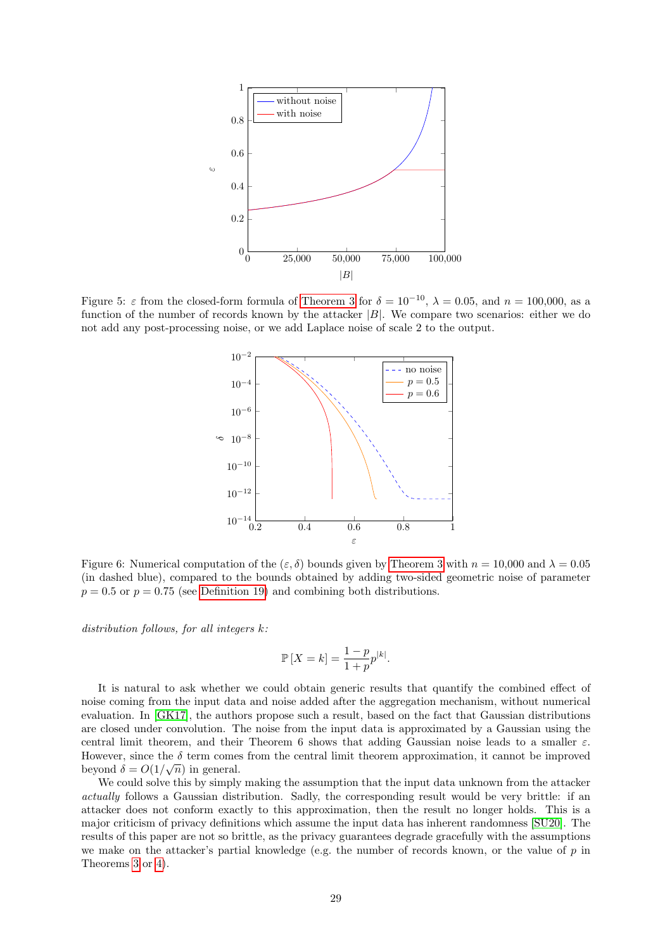<span id="page-28-0"></span>

<span id="page-28-1"></span>Figure 5:  $\varepsilon$  from the closed-form formula of [Theorem 3](#page-15-2) for  $\delta = 10^{-10}$ ,  $\lambda = 0.05$ , and  $n = 100,000$ , as a function of the number of records known by the attacker  $|B|$ . We compare two scenarios: either we do not add any post-processing noise, or we add Laplace noise of scale 2 to the output.



Figure 6: Numerical computation of the  $(\varepsilon, \delta)$  bounds given by [Theorem 3](#page-15-2) with  $n = 10,000$  and  $\lambda = 0.05$ (in dashed blue), compared to the bounds obtained by adding two-sided geometric noise of parameter  $p = 0.5$  or  $p = 0.75$  (see [Definition 19\)](#page-27-1) and combining both distributions.

distribution follows, for all integers k:

$$
\mathbb{P}\left[X = k\right] = \frac{1-p}{1+p}p^{|k|}.
$$

It is natural to ask whether we could obtain generic results that quantify the combined effect of noise coming from the input data and noise added after the aggregation mechanism, without numerical evaluation. In [\[GK17\]](#page-30-8), the authors propose such a result, based on the fact that Gaussian distributions are closed under convolution. The noise from the input data is approximated by a Gaussian using the central limit theorem, and their Theorem 6 shows that adding Gaussian noise leads to a smaller  $\varepsilon$ . However, since the  $\delta$  term comes from the central limit theorem approximation, it cannot be improved beyond  $\delta = O(1/\sqrt{n})$  in general.

We could solve this by simply making the assumption that the input data unknown from the attacker actually follows a Gaussian distribution. Sadly, the corresponding result would be very brittle: if an attacker does not conform exactly to this approximation, then the result no longer holds. This is a major criticism of privacy definitions which assume the input data has inherent randomness [\[SU20\]](#page-30-15). The results of this paper are not so brittle, as the privacy guarantees degrade gracefully with the assumptions we make on the attacker's partial knowledge (e.g. the number of records known, or the value of  $p$  in Theorems [3](#page-15-2) or [4\)](#page-19-0).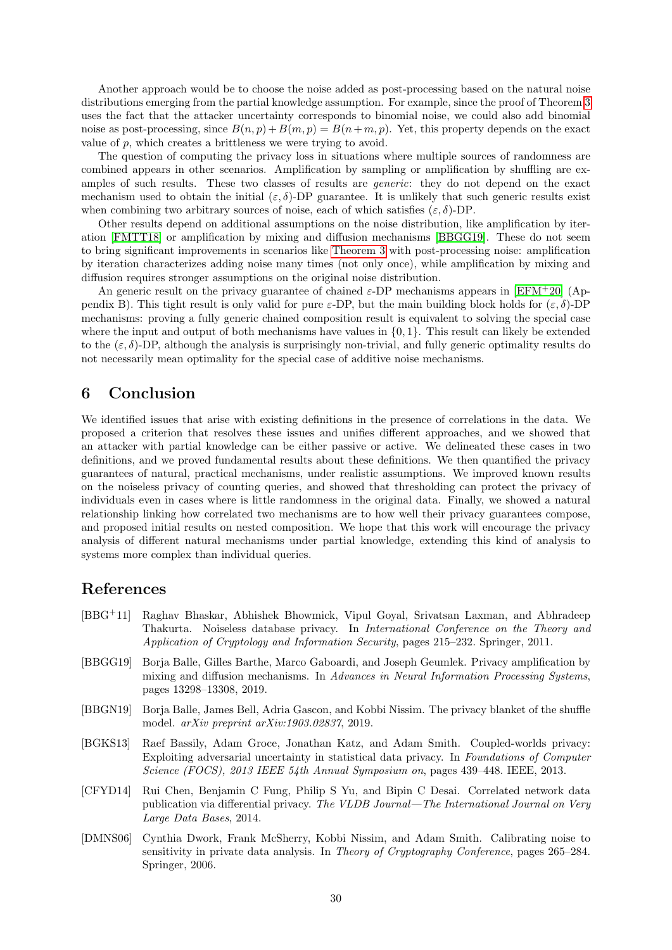Another approach would be to choose the noise added as post-processing based on the natural noise distributions emerging from the partial knowledge assumption. For example, since the proof of Theorem [3](#page-15-2) uses the fact that the attacker uncertainty corresponds to binomial noise, we could also add binomial noise as post-processing, since  $B(n, p) + B(m, p) = B(n + m, p)$ . Yet, this property depends on the exact value of  $p$ , which creates a brittleness we were trying to avoid.

The question of computing the privacy loss in situations where multiple sources of randomness are combined appears in other scenarios. Amplification by sampling or amplification by shuffling are examples of such results. These two classes of results are generic: they do not depend on the exact mechanism used to obtain the initial  $(\varepsilon, \delta)$ -DP guarantee. It is unlikely that such generic results exist when combining two arbitrary sources of noise, each of which satisfies  $(\varepsilon, \delta)$ -DP.

Other results depend on additional assumptions on the noise distribution, like amplification by iteration [\[FMTT18\]](#page-30-16) or amplification by mixing and diffusion mechanisms [\[BBGG19\]](#page-29-6). These do not seem to bring significant improvements in scenarios like [Theorem 3](#page-15-2) with post-processing noise: amplification by iteration characterizes adding noise many times (not only once), while amplification by mixing and diffusion requires stronger assumptions on the original noise distribution.

An generic result on the privacy guarantee of chained  $\varepsilon$ -DP mechanisms appears in [\[EFM](#page-30-17)+20] (Appendix B). This tight result is only valid for pure  $\varepsilon$ -DP, but the main building block holds for  $(\varepsilon, \delta)$ -DP mechanisms: proving a fully generic chained composition result is equivalent to solving the special case where the input and output of both mechanisms have values in  $\{0, 1\}$ . This result can likely be extended to the  $(\varepsilon, \delta)$ -DP, although the analysis is surprisingly non-trivial, and fully generic optimality results do not necessarily mean optimality for the special case of additive noise mechanisms.

## <span id="page-29-0"></span>6 Conclusion

We identified issues that arise with existing definitions in the presence of correlations in the data. We proposed a criterion that resolves these issues and unifies different approaches, and we showed that an attacker with partial knowledge can be either passive or active. We delineated these cases in two definitions, and we proved fundamental results about these definitions. We then quantified the privacy guarantees of natural, practical mechanisms, under realistic assumptions. We improved known results on the noiseless privacy of counting queries, and showed that thresholding can protect the privacy of individuals even in cases where is little randomness in the original data. Finally, we showed a natural relationship linking how correlated two mechanisms are to how well their privacy guarantees compose, and proposed initial results on nested composition. We hope that this work will encourage the privacy analysis of different natural mechanisms under partial knowledge, extending this kind of analysis to systems more complex than individual queries.

## References

- <span id="page-29-1"></span>[BBG+11] Raghav Bhaskar, Abhishek Bhowmick, Vipul Goyal, Srivatsan Laxman, and Abhradeep Thakurta. Noiseless database privacy. In International Conference on the Theory and Application of Cryptology and Information Security, pages 215–232. Springer, 2011.
- <span id="page-29-6"></span>[BBGG19] Borja Balle, Gilles Barthe, Marco Gaboardi, and Joseph Geumlek. Privacy amplification by mixing and diffusion mechanisms. In Advances in Neural Information Processing Systems, pages 13298–13308, 2019.
- <span id="page-29-5"></span>[BBGN19] Borja Balle, James Bell, Adria Gascon, and Kobbi Nissim. The privacy blanket of the shuffle model. arXiv preprint arXiv:1903.02837, 2019.
- <span id="page-29-2"></span>[BGKS13] Raef Bassily, Adam Groce, Jonathan Katz, and Adam Smith. Coupled-worlds privacy: Exploiting adversarial uncertainty in statistical data privacy. In Foundations of Computer Science (FOCS), 2013 IEEE 54th Annual Symposium on, pages 439–448. IEEE, 2013.
- <span id="page-29-4"></span>[CFYD14] Rui Chen, Benjamin C Fung, Philip S Yu, and Bipin C Desai. Correlated network data publication via differential privacy. The VLDB Journal—The International Journal on Very Large Data Bases, 2014.
- <span id="page-29-3"></span>[DMNS06] Cynthia Dwork, Frank McSherry, Kobbi Nissim, and Adam Smith. Calibrating noise to sensitivity in private data analysis. In Theory of Cryptography Conference, pages 265–284. Springer, 2006.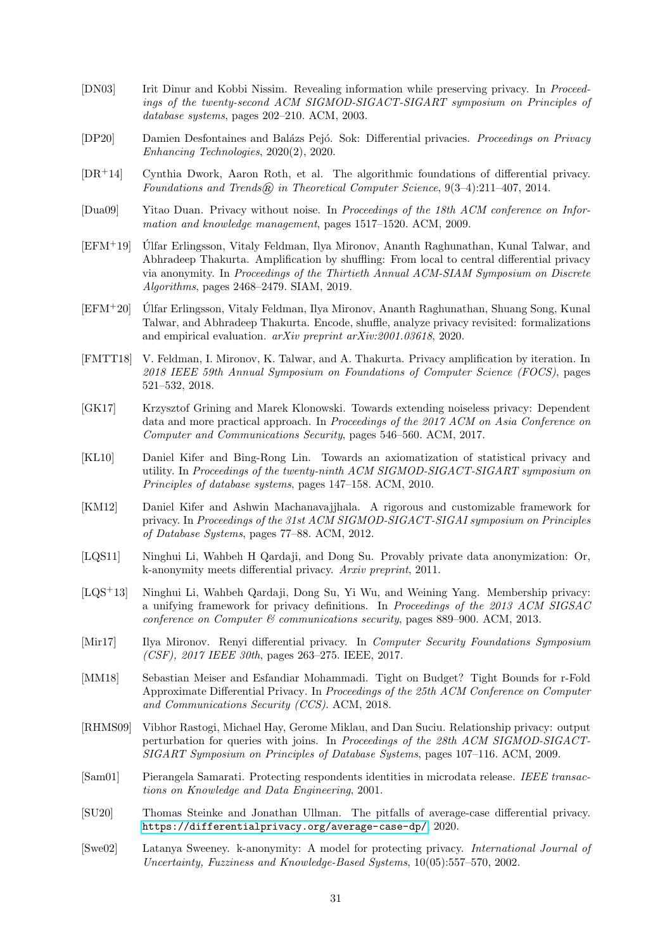- <span id="page-30-5"></span>[DN03] Irit Dinur and Kobbi Nissim. Revealing information while preserving privacy. In Proceedings of the twenty-second ACM SIGMOD-SIGACT-SIGART symposium on Principles of database systems, pages 202–210. ACM, 2003.
- <span id="page-30-4"></span>[DP20] Damien Desfontaines and Balázs Pejó. Sok: Differential privacies. Proceedings on Privacy Enhancing Technologies, 2020(2), 2020.
- <span id="page-30-13"></span>[DR+14] Cynthia Dwork, Aaron Roth, et al. The algorithmic foundations of differential privacy. Foundations and Trends $\widehat{\mathfrak{m}}$  in Theoretical Computer Science, 9(3-4):211-407, 2014.
- <span id="page-30-0"></span>[Dua09] Yitao Duan. Privacy without noise. In Proceedings of the 18th ACM conference on Information and knowledge management, pages 1517–1520. ACM, 2009.
- <span id="page-30-9"></span>[EFM+19] Ulfar Erlingsson, Vitaly Feldman, Ilya Mironov, Ananth Raghunathan, Kunal Talwar, and ´ Abhradeep Thakurta. Amplification by shuffling: From local to central differential privacy via anonymity. In Proceedings of the Thirtieth Annual ACM-SIAM Symposium on Discrete Algorithms, pages 2468–2479. SIAM, 2019.
- <span id="page-30-17"></span>[EFM+20] Ulfar Erlingsson, Vitaly Feldman, Ilya Mironov, Ananth Raghunathan, Shuang Song, Kunal ´ Talwar, and Abhradeep Thakurta. Encode, shuffle, analyze privacy revisited: formalizations and empirical evaluation. arXiv preprint arXiv:2001.03618, 2020.
- <span id="page-30-16"></span>[FMTT18] V. Feldman, I. Mironov, K. Talwar, and A. Thakurta. Privacy amplification by iteration. In 2018 IEEE 59th Annual Symposium on Foundations of Computer Science (FOCS), pages 521–532, 2018.
- <span id="page-30-8"></span>[GK17] Krzysztof Grining and Marek Klonowski. Towards extending noiseless privacy: Dependent data and more practical approach. In Proceedings of the 2017 ACM on Asia Conference on Computer and Communications Security, pages 546–560. ACM, 2017.
- <span id="page-30-7"></span>[KL10] Daniel Kifer and Bing-Rong Lin. Towards an axiomatization of statistical privacy and utility. In Proceedings of the twenty-ninth ACM SIGMOD-SIGACT-SIGART symposium on Principles of database systems, pages 147–158. ACM, 2010.
- <span id="page-30-2"></span>[KM12] Daniel Kifer and Ashwin Machanavajjhala. A rigorous and customizable framework for privacy. In Proceedings of the 31st ACM SIGMOD-SIGACT-SIGAI symposium on Principles of Database Systems, pages 77–88. ACM, 2012.
- <span id="page-30-12"></span>[LQS11] Ninghui Li, Wahbeh H Qardaji, and Dong Su. Provably private data anonymization: Or, k-anonymity meets differential privacy. Arxiv preprint, 2011.
- <span id="page-30-3"></span>[LQS+13] Ninghui Li, Wahbeh Qardaji, Dong Su, Yi Wu, and Weining Yang. Membership privacy: a unifying framework for privacy definitions. In Proceedings of the 2013 ACM SIGSAC conference on Computer & communications security, pages 889–900. ACM, 2013.
- <span id="page-30-14"></span>[Mir17] Ilya Mironov. Renyi differential privacy. In Computer Security Foundations Symposium (CSF), 2017 IEEE 30th, pages 263–275. IEEE, 2017.
- <span id="page-30-6"></span>[MM18] Sebastian Meiser and Esfandiar Mohammadi. Tight on Budget? Tight Bounds for r-Fold Approximate Differential Privacy. In Proceedings of the 25th ACM Conference on Computer and Communications Security (CCS). ACM, 2018.
- <span id="page-30-1"></span>[RHMS09] Vibhor Rastogi, Michael Hay, Gerome Miklau, and Dan Suciu. Relationship privacy: output perturbation for queries with joins. In Proceedings of the 28th ACM SIGMOD-SIGACT-SIGART Symposium on Principles of Database Systems, pages 107–116. ACM, 2009.
- <span id="page-30-10"></span>[Sam01] Pierangela Samarati. Protecting respondents identities in microdata release. IEEE transactions on Knowledge and Data Engineering, 2001.
- <span id="page-30-15"></span>[SU20] Thomas Steinke and Jonathan Ullman. The pitfalls of average-case differential privacy. <https://differentialprivacy.org/average-case-dp/>, 2020.
- <span id="page-30-11"></span>[Swe02] Latanya Sweeney. k-anonymity: A model for protecting privacy. International Journal of Uncertainty, Fuzziness and Knowledge-Based Systems, 10(05):557–570, 2002.